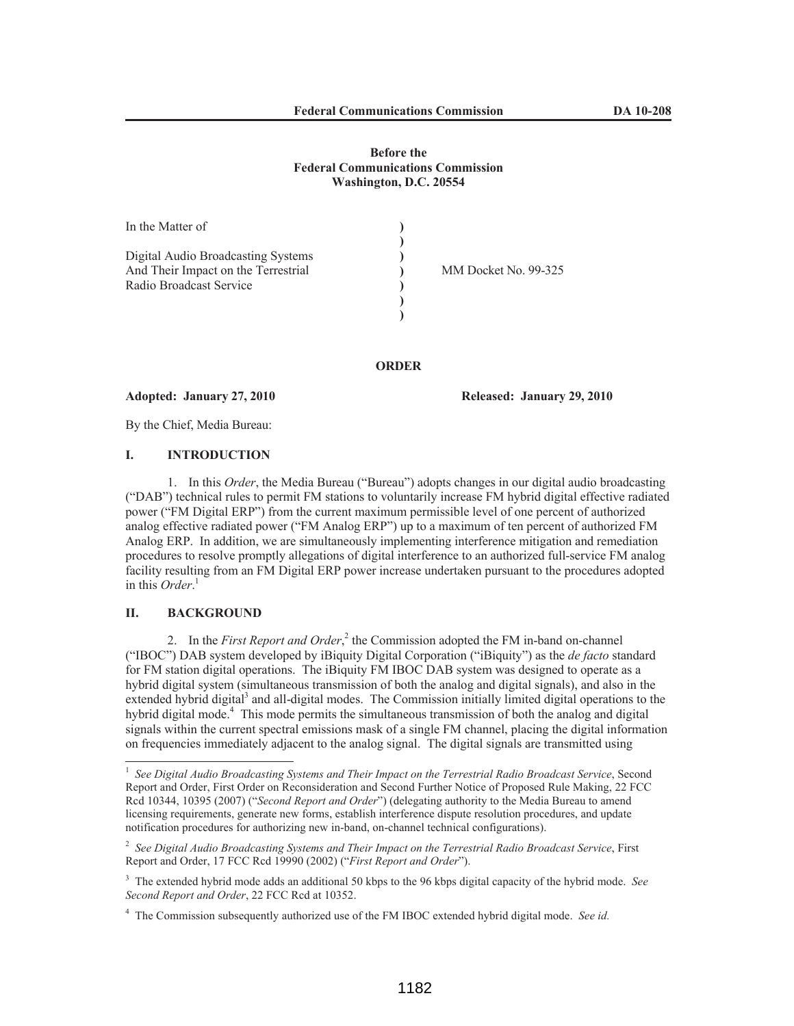### **Before the Federal Communications Commission Washington, D.C. 20554**

| In the Matter of                    |                      |
|-------------------------------------|----------------------|
|                                     |                      |
| Digital Audio Broadcasting Systems  |                      |
| And Their Impact on the Terrestrial | MM Docket No. 99-325 |
| Radio Broadcast Service             |                      |
|                                     |                      |
|                                     |                      |
|                                     |                      |

**ORDER**

**Adopted: January 27, 2010 Released: January 29, 2010**

By the Chief, Media Bureau:

# **I. INTRODUCTION**

1. In this *Order*, the Media Bureau ("Bureau") adopts changes in our digital audio broadcasting ("DAB") technical rules to permit FM stations to voluntarily increase FM hybrid digital effective radiated power ("FM Digital ERP") from the current maximum permissible level of one percent of authorized analog effective radiated power ("FM Analog ERP") up to a maximum of ten percent of authorized FM Analog ERP. In addition, we are simultaneously implementing interference mitigation and remediation procedures to resolve promptly allegations of digital interference to an authorized full-service FM analog facility resulting from an FM Digital ERP power increase undertaken pursuant to the procedures adopted in this *Order*. 1

# **II. BACKGROUND**

2. In the *First Report and Order*,<sup>2</sup> the Commission adopted the FM in-band on-channel ("IBOC") DAB system developed by iBiquity Digital Corporation ("iBiquity") as the *de facto* standard for FM station digital operations. The iBiquity FM IBOC DAB system was designed to operate as a hybrid digital system (simultaneous transmission of both the analog and digital signals), and also in the extended hybrid digital<sup>3</sup> and all-digital modes. The Commission initially limited digital operations to the hybrid digital mode.<sup>4</sup> This mode permits the simultaneous transmission of both the analog and digital signals within the current spectral emissions mask of a single FM channel, placing the digital information on frequencies immediately adjacent to the analog signal. The digital signals are transmitted using

<sup>&</sup>lt;sup>1</sup> See Digital Audio Broadcasting Systems and Their Impact on the Terrestrial Radio Broadcast Service, Second Report and Order, First Order on Reconsideration and Second Further Notice of Proposed Rule Making, 22 FCC Rcd 10344, 10395 (2007) ("*Second Report and Order*") (delegating authority to the Media Bureau to amend licensing requirements, generate new forms, establish interference dispute resolution procedures, and update notification procedures for authorizing new in-band, on-channel technical configurations).

<sup>2</sup> *See Digital Audio Broadcasting Systems and Their Impact on the Terrestrial Radio Broadcast Service*, First Report and Order, 17 FCC Rcd 19990 (2002) ("*First Report and Order*").

<sup>3</sup> The extended hybrid mode adds an additional 50 kbps to the 96 kbps digital capacity of the hybrid mode. *See Second Report and Order*, 22 FCC Rcd at 10352.

<sup>4</sup> The Commission subsequently authorized use of the FM IBOC extended hybrid digital mode. *See id.*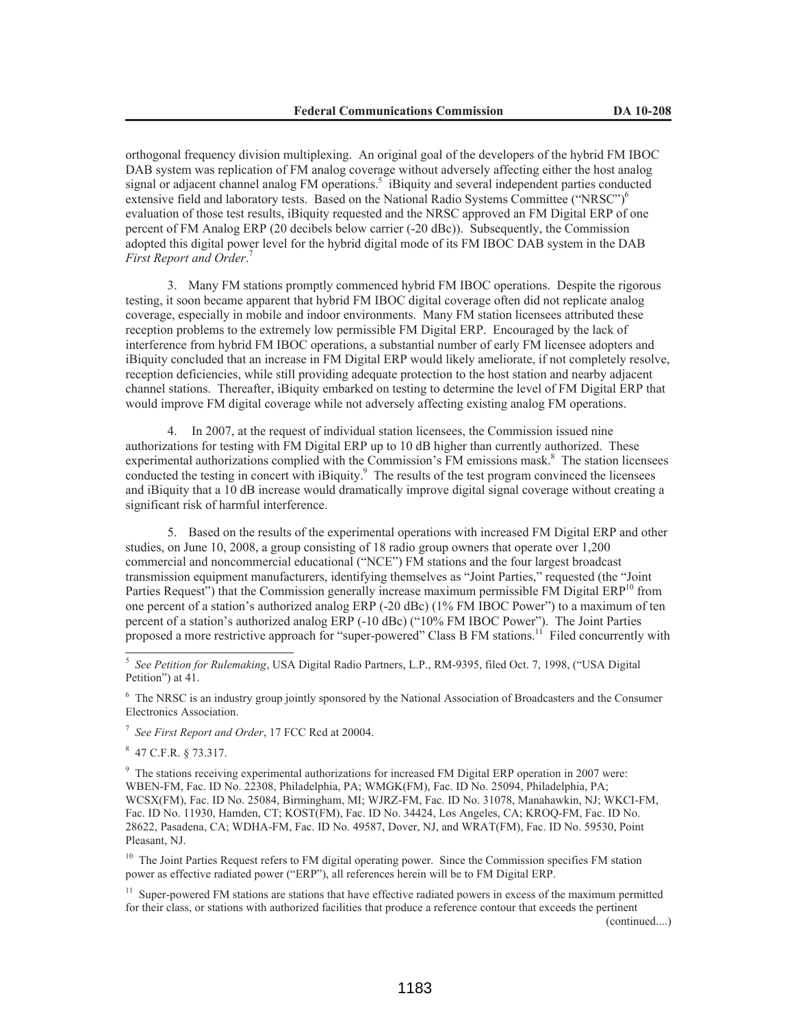orthogonal frequency division multiplexing. An original goal of the developers of the hybrid FM IBOC DAB system was replication of FM analog coverage without adversely affecting either the host analog signal or adjacent channel analog FM operations.<sup>5</sup> iBiquity and several independent parties conducted extensive field and laboratory tests. Based on the National Radio Systems Committee ("NRSC")<sup>6</sup> evaluation of those test results, iBiquity requested and the NRSC approved an FM Digital ERP of one percent of FM Analog ERP (20 decibels below carrier (-20 dBc)). Subsequently, the Commission adopted this digital power level for the hybrid digital mode of its FM IBOC DAB system in the DAB *First Report and Order*. 7

3. Many FM stations promptly commenced hybrid FM IBOC operations. Despite the rigorous testing, it soon became apparent that hybrid FM IBOC digital coverage often did not replicate analog coverage, especially in mobile and indoor environments. Many FM station licensees attributed these reception problems to the extremely low permissible FM Digital ERP. Encouraged by the lack of interference from hybrid FM IBOC operations, a substantial number of early FM licensee adopters and iBiquity concluded that an increase in FM Digital ERP would likely ameliorate, if not completely resolve, reception deficiencies, while still providing adequate protection to the host station and nearby adjacent channel stations. Thereafter, iBiquity embarked on testing to determine the level of FM Digital ERP that would improve FM digital coverage while not adversely affecting existing analog FM operations.

4. In 2007, at the request of individual station licensees, the Commission issued nine authorizations for testing with FM Digital ERP up to 10 dB higher than currently authorized. These experimental authorizations complied with the Commission's FM emissions mask.<sup>8</sup> The station licensees conducted the testing in concert with iBiquity.<sup>9</sup> The results of the test program convinced the licensees and iBiquity that a 10 dB increase would dramatically improve digital signal coverage without creating a significant risk of harmful interference.

5. Based on the results of the experimental operations with increased FM Digital ERP and other studies, on June 10, 2008, a group consisting of 18 radio group owners that operate over 1,200 commercial and noncommercial educational ("NCE") FM stations and the four largest broadcast transmission equipment manufacturers, identifying themselves as "Joint Parties," requested (the "Joint Parties Request") that the Commission generally increase maximum permissible FM Digital  $ERP<sup>10</sup>$  from one percent of a station's authorized analog ERP (-20 dBc) (1% FM IBOC Power") to a maximum of ten percent of a station's authorized analog ERP (-10 dBc) ("10% FM IBOC Power"). The Joint Parties proposed a more restrictive approach for "super-powered" Class B FM stations.<sup>11</sup> Filed concurrently with

<sup>6</sup> The NRSC is an industry group jointly sponsored by the National Association of Broadcasters and the Consumer Electronics Association.

7 *See First Report and Order*, 17 FCC Rcd at 20004.

8 47 C.F.R. § 73.317.

<sup>9</sup> The stations receiving experimental authorizations for increased FM Digital ERP operation in 2007 were: WBEN-FM, Fac. ID No. 22308, Philadelphia, PA; WMGK(FM), Fac. ID No. 25094, Philadelphia, PA; WCSX(FM), Fac. ID No. 25084, Birmingham, MI; WJRZ-FM, Fac. ID No. 31078, Manahawkin, NJ; WKCI-FM, Fac. ID No. 11930, Hamden, CT; KOST(FM), Fac. ID No. 34424, Los Angeles, CA; KROQ-FM, Fac. ID No. 28622, Pasadena, CA; WDHA-FM, Fac. ID No. 49587, Dover, NJ, and WRAT(FM), Fac. ID No. 59530, Point Pleasant, NJ.

<sup>10</sup> The Joint Parties Request refers to FM digital operating power. Since the Commission specifies FM station power as effective radiated power ("ERP"), all references herein will be to FM Digital ERP.

 $11$  Super-powered FM stations are stations that have effective radiated powers in excess of the maximum permitted for their class, or stations with authorized facilities that produce a reference contour that exceeds the pertinent

(continued....)

<sup>5</sup> *See Petition for Rulemaking*, USA Digital Radio Partners, L.P., RM-9395, filed Oct. 7, 1998, ("USA Digital Petition") at 41.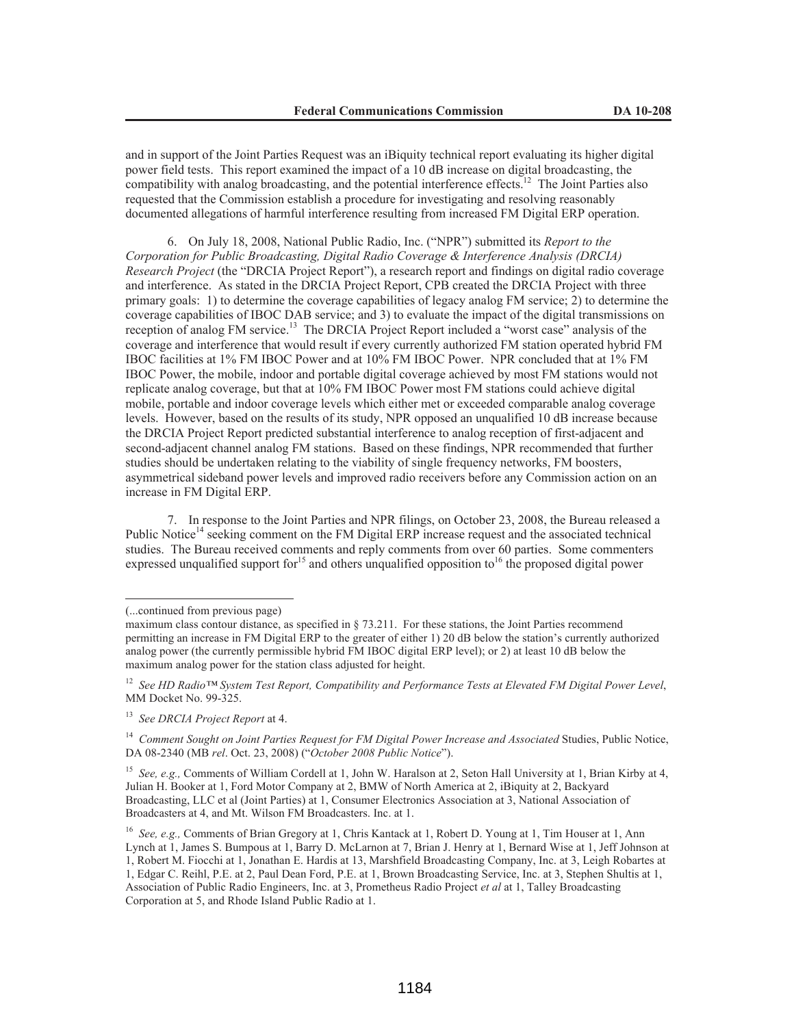and in support of the Joint Parties Request was an iBiquity technical report evaluating its higher digital power field tests. This report examined the impact of a 10 dB increase on digital broadcasting, the compatibility with analog broadcasting, and the potential interference effects.<sup>12</sup> The Joint Parties also requested that the Commission establish a procedure for investigating and resolving reasonably documented allegations of harmful interference resulting from increased FM Digital ERP operation.

6. On July 18, 2008, National Public Radio, Inc. ("NPR") submitted its *Report to the Corporation for Public Broadcasting, Digital Radio Coverage & Interference Analysis (DRCIA) Research Project* (the "DRCIA Project Report"), a research report and findings on digital radio coverage and interference. As stated in the DRCIA Project Report, CPB created the DRCIA Project with three primary goals: 1) to determine the coverage capabilities of legacy analog FM service; 2) to determine the coverage capabilities of IBOC DAB service; and 3) to evaluate the impact of the digital transmissions on reception of analog FM service.<sup>13</sup> The DRCIA Project Report included a "worst case" analysis of the coverage and interference that would result if every currently authorized FM station operated hybrid FM IBOC facilities at 1% FM IBOC Power and at 10% FM IBOC Power. NPR concluded that at 1% FM IBOC Power, the mobile, indoor and portable digital coverage achieved by most FM stations would not replicate analog coverage, but that at 10% FM IBOC Power most FM stations could achieve digital mobile, portable and indoor coverage levels which either met or exceeded comparable analog coverage levels. However, based on the results of its study, NPR opposed an unqualified 10 dB increase because the DRCIA Project Report predicted substantial interference to analog reception of first-adjacent and second-adjacent channel analog FM stations. Based on these findings, NPR recommended that further studies should be undertaken relating to the viability of single frequency networks, FM boosters, asymmetrical sideband power levels and improved radio receivers before any Commission action on an increase in FM Digital ERP.

7. In response to the Joint Parties and NPR filings, on October 23, 2008, the Bureau released a Public Notice<sup>14</sup> seeking comment on the FM Digital ERP increase request and the associated technical studies. The Bureau received comments and reply comments from over 60 parties. Some commenters expressed unqualified support for<sup>15</sup> and others unqualified opposition to<sup>16</sup> the proposed digital power

<sup>15</sup> *See, e.g.,* Comments of William Cordell at 1, John W. Haralson at 2, Seton Hall University at 1, Brian Kirby at 4, Julian H. Booker at 1, Ford Motor Company at 2, BMW of North America at 2, iBiquity at 2, Backyard Broadcasting, LLC et al (Joint Parties) at 1, Consumer Electronics Association at 3, National Association of Broadcasters at 4, and Mt. Wilson FM Broadcasters. Inc. at 1.

<sup>(...</sup>continued from previous page)

maximum class contour distance, as specified in § 73.211. For these stations, the Joint Parties recommend permitting an increase in FM Digital ERP to the greater of either 1) 20 dB below the station's currently authorized analog power (the currently permissible hybrid FM IBOC digital ERP level); or 2) at least 10 dB below the maximum analog power for the station class adjusted for height.

<sup>12</sup> *See HD Radio™ System Test Report, Compatibility and Performance Tests at Elevated FM Digital Power Level*, MM Docket No. 99-325.

<sup>13</sup> *See DRCIA Project Report* at 4.

<sup>&</sup>lt;sup>14</sup> Comment Sought on Joint Parties Request for FM Digital Power Increase and Associated Studies, Public Notice, DA 08-2340 (MB *rel*. Oct. 23, 2008) ("*October 2008 Public Notice*").

<sup>16</sup> *See, e.g.,* Comments of Brian Gregory at 1, Chris Kantack at 1, Robert D. Young at 1, Tim Houser at 1, Ann Lynch at 1, James S. Bumpous at 1, Barry D. McLarnon at 7, Brian J. Henry at 1, Bernard Wise at 1, Jeff Johnson at 1, Robert M. Fiocchi at 1, Jonathan E. Hardis at 13, Marshfield Broadcasting Company, Inc. at 3, Leigh Robartes at 1, Edgar C. Reihl, P.E. at 2, Paul Dean Ford, P.E. at 1, Brown Broadcasting Service, Inc. at 3, Stephen Shultis at 1, Association of Public Radio Engineers, Inc. at 3, Prometheus Radio Project *et al* at 1, Talley Broadcasting Corporation at 5, and Rhode Island Public Radio at 1.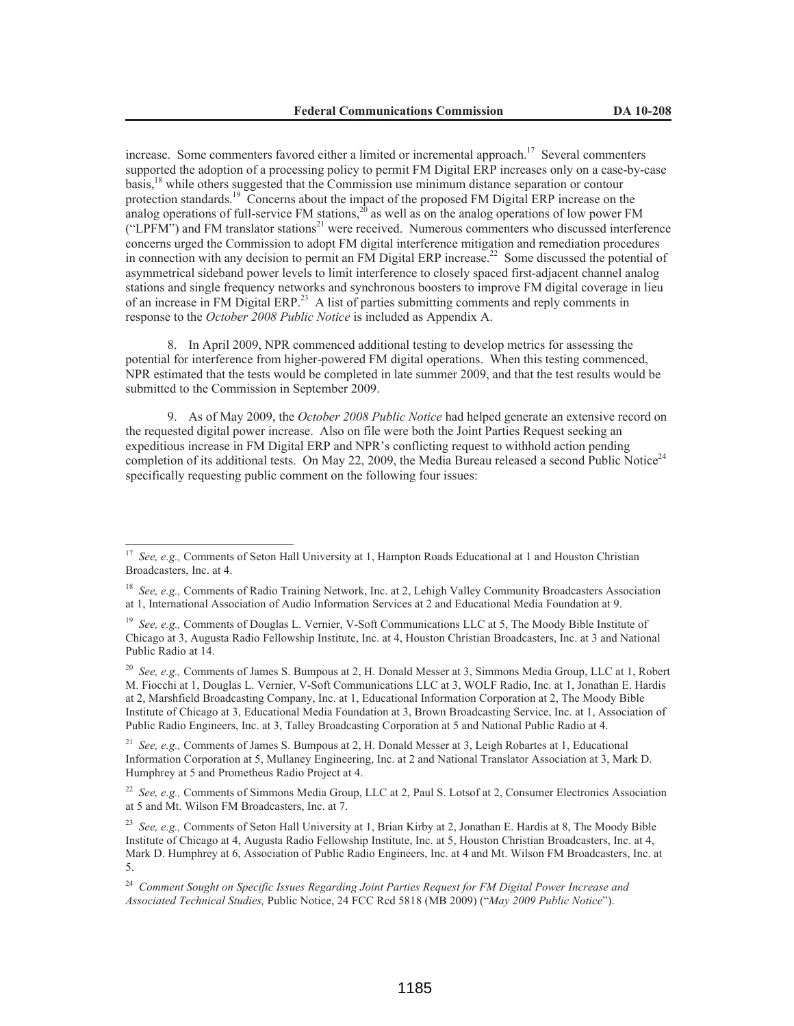increase. Some commenters favored either a limited or incremental approach.<sup>17</sup> Several commenters supported the adoption of a processing policy to permit FM Digital ERP increases only on a case-by-case basis,<sup>18</sup> while others suggested that the Commission use minimum distance separation or contour protection standards.<sup>19</sup> Concerns about the impact of the proposed FM Digital ERP increase on the analog operations of full-service FM stations,<sup>20</sup> as well as on the analog operations of low power FM ("LPFM") and FM translator stations<sup>21</sup> were received. Numerous commenters who discussed interference concerns urged the Commission to adopt FM digital interference mitigation and remediation procedures in connection with any decision to permit an FM Digital ERP increase.<sup>22</sup> Some discussed the potential of asymmetrical sideband power levels to limit interference to closely spaced first-adjacent channel analog stations and single frequency networks and synchronous boosters to improve FM digital coverage in lieu of an increase in FM Digital ERP.<sup>23</sup> A list of parties submitting comments and reply comments in response to the *October 2008 Public Notice* is included as Appendix A.

8. In April 2009, NPR commenced additional testing to develop metrics for assessing the potential for interference from higher-powered FM digital operations. When this testing commenced, NPR estimated that the tests would be completed in late summer 2009, and that the test results would be submitted to the Commission in September 2009.

9. As of May 2009, the *October 2008 Public Notice* had helped generate an extensive record on the requested digital power increase. Also on file were both the Joint Parties Request seeking an expeditious increase in FM Digital ERP and NPR's conflicting request to withhold action pending completion of its additional tests. On May 22, 2009, the Media Bureau released a second Public Notice<sup>24</sup> specifically requesting public comment on the following four issues:

<sup>21</sup> *See, e.g.,* Comments of James S. Bumpous at 2, H. Donald Messer at 3, Leigh Robartes at 1, Educational Information Corporation at 5, Mullaney Engineering, Inc. at 2 and National Translator Association at 3, Mark D. Humphrey at 5 and Prometheus Radio Project at 4.

<sup>22</sup> *See, e.g.,* Comments of Simmons Media Group, LLC at 2, Paul S. Lotsof at 2, Consumer Electronics Association at 5 and Mt. Wilson FM Broadcasters, Inc. at 7.

<sup>23</sup> *See, e.g.,* Comments of Seton Hall University at 1, Brian Kirby at 2, Jonathan E. Hardis at 8, The Moody Bible Institute of Chicago at 4, Augusta Radio Fellowship Institute, Inc. at 5, Houston Christian Broadcasters, Inc. at 4, Mark D. Humphrey at 6, Association of Public Radio Engineers, Inc. at 4 and Mt. Wilson FM Broadcasters, Inc. at 5.

<sup>17</sup> *See, e.g.,* Comments of Seton Hall University at 1, Hampton Roads Educational at 1 and Houston Christian Broadcasters, Inc. at 4.

<sup>&</sup>lt;sup>18</sup> *See, e.g.,* Comments of Radio Training Network, Inc. at 2, Lehigh Valley Community Broadcasters Association at 1, International Association of Audio Information Services at 2 and Educational Media Foundation at 9.

<sup>&</sup>lt;sup>19</sup> See, e.g., Comments of Douglas L. Vernier, V-Soft Communications LLC at 5, The Moody Bible Institute of Chicago at 3, Augusta Radio Fellowship Institute, Inc. at 4, Houston Christian Broadcasters, Inc. at 3 and National Public Radio at 14.

<sup>20</sup> *See, e.g.,* Comments of James S. Bumpous at 2, H. Donald Messer at 3, Simmons Media Group, LLC at 1, Robert M. Fiocchi at 1, Douglas L. Vernier, V-Soft Communications LLC at 3, WOLF Radio, Inc. at 1, Jonathan E. Hardis at 2, Marshfield Broadcasting Company, Inc. at 1, Educational Information Corporation at 2, The Moody Bible Institute of Chicago at 3, Educational Media Foundation at 3, Brown Broadcasting Service, Inc. at 1, Association of Public Radio Engineers, Inc. at 3, Talley Broadcasting Corporation at 5 and National Public Radio at 4.

<sup>24</sup> *Comment Sought on Specific Issues Regarding Joint Parties Request for FM Digital Power Increase and Associated Technical Studies,* Public Notice, 24 FCC Rcd 5818 (MB 2009) ("*May 2009 Public Notice*").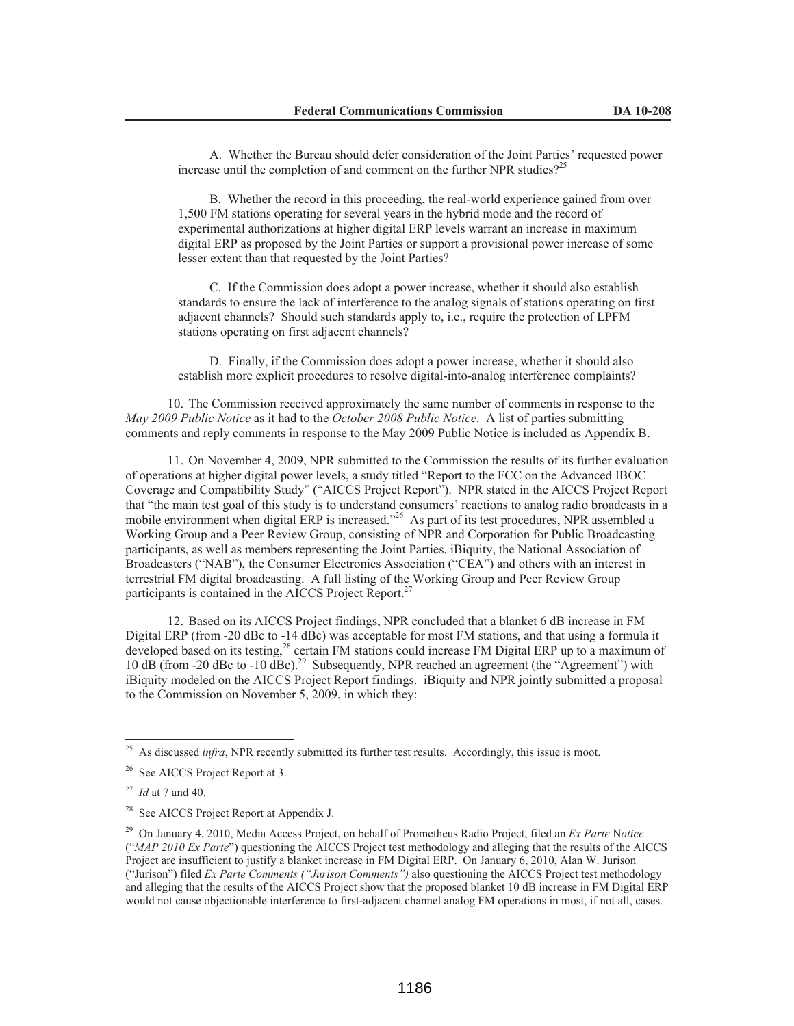A. Whether the Bureau should defer consideration of the Joint Parties' requested power increase until the completion of and comment on the further NPR studies?<sup>25</sup>

B. Whether the record in this proceeding, the real-world experience gained from over 1,500 FM stations operating for several years in the hybrid mode and the record of experimental authorizations at higher digital ERP levels warrant an increase in maximum digital ERP as proposed by the Joint Parties or support a provisional power increase of some lesser extent than that requested by the Joint Parties?

C. If the Commission does adopt a power increase, whether it should also establish standards to ensure the lack of interference to the analog signals of stations operating on first adjacent channels? Should such standards apply to, i.e., require the protection of LPFM stations operating on first adjacent channels?

D. Finally, if the Commission does adopt a power increase, whether it should also establish more explicit procedures to resolve digital-into-analog interference complaints?

10. The Commission received approximately the same number of comments in response to the *May 2009 Public Notice* as it had to the *October 2008 Public Notice*. A list of parties submitting comments and reply comments in response to the May 2009 Public Notice is included as Appendix B.

11. On November 4, 2009, NPR submitted to the Commission the results of its further evaluation of operations at higher digital power levels, a study titled "Report to the FCC on the Advanced IBOC Coverage and Compatibility Study" ("AICCS Project Report"). NPR stated in the AICCS Project Report that "the main test goal of this study is to understand consumers' reactions to analog radio broadcasts in a mobile environment when digital ERP is increased."<sup>26</sup> As part of its test procedures, NPR assembled a Working Group and a Peer Review Group, consisting of NPR and Corporation for Public Broadcasting participants, as well as members representing the Joint Parties, iBiquity, the National Association of Broadcasters ("NAB"), the Consumer Electronics Association ("CEA") and others with an interest in terrestrial FM digital broadcasting. A full listing of the Working Group and Peer Review Group participants is contained in the AICCS Project Report.<sup>27</sup>

12. Based on its AICCS Project findings, NPR concluded that a blanket 6 dB increase in FM Digital ERP (from -20 dBc to -14 dBc) was acceptable for most FM stations, and that using a formula it developed based on its testing,<sup>28</sup> certain FM stations could increase FM Digital ERP up to a maximum of 10 dB (from -20 dBc to -10 dBc).<sup>29</sup> Subsequently, NPR reached an agreement (the "Agreement") with iBiquity modeled on the AICCS Project Report findings. iBiquity and NPR jointly submitted a proposal to the Commission on November 5, 2009, in which they:

<sup>25</sup> As discussed *infra*, NPR recently submitted its further test results. Accordingly, this issue is moot.

<sup>&</sup>lt;sup>26</sup> See AICCS Project Report at 3.

<sup>27</sup> *Id* at 7 and 40.

<sup>&</sup>lt;sup>28</sup> See AICCS Project Report at Appendix J.

<sup>29</sup> On January 4, 2010, Media Access Project, on behalf of Prometheus Radio Project, filed an *Ex Parte* N*otice* ("*MAP 2010 Ex Parte*") questioning the AICCS Project test methodology and alleging that the results of the AICCS Project are insufficient to justify a blanket increase in FM Digital ERP. On January 6, 2010, Alan W. Jurison ("Jurison") filed *Ex Parte Comments ("Jurison Comments")* also questioning the AICCS Project test methodology and alleging that the results of the AICCS Project show that the proposed blanket 10 dB increase in FM Digital ERP would not cause objectionable interference to first-adjacent channel analog FM operations in most, if not all, cases.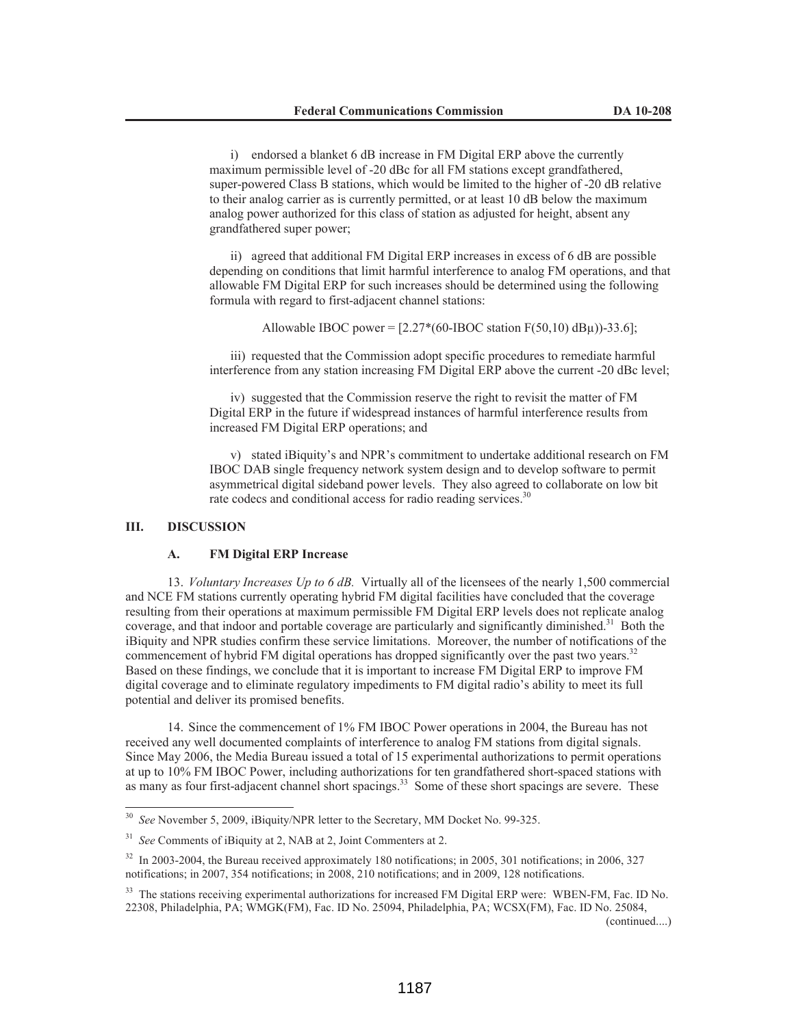i) endorsed a blanket 6 dB increase in FM Digital ERP above the currently maximum permissible level of -20 dBc for all FM stations except grandfathered, super-powered Class B stations, which would be limited to the higher of -20 dB relative to their analog carrier as is currently permitted, or at least 10 dB below the maximum analog power authorized for this class of station as adjusted for height, absent any grandfathered super power;

ii) agreed that additional FM Digital ERP increases in excess of 6 dB are possible depending on conditions that limit harmful interference to analog FM operations, and that allowable FM Digital ERP for such increases should be determined using the following formula with regard to first-adjacent channel stations:

Allowable IBOC power =  $[2.27*(60-HBOC station F(50,10) dBµ)]-33.6$ ];

iii) requested that the Commission adopt specific procedures to remediate harmful interference from any station increasing FM Digital ERP above the current -20 dBc level;

iv) suggested that the Commission reserve the right to revisit the matter of FM Digital ERP in the future if widespread instances of harmful interference results from increased FM Digital ERP operations; and

v) stated iBiquity's and NPR's commitment to undertake additional research on FM IBOC DAB single frequency network system design and to develop software to permit asymmetrical digital sideband power levels. They also agreed to collaborate on low bit rate codecs and conditional access for radio reading services.<sup>30</sup>

### **III. DISCUSSION**

# **A. FM Digital ERP Increase**

13. *Voluntary Increases Up to 6 dB.* Virtually all of the licensees of the nearly 1,500 commercial and NCE FM stations currently operating hybrid FM digital facilities have concluded that the coverage resulting from their operations at maximum permissible FM Digital ERP levels does not replicate analog coverage, and that indoor and portable coverage are particularly and significantly diminished.<sup>31</sup> Both the iBiquity and NPR studies confirm these service limitations. Moreover, the number of notifications of the commencement of hybrid FM digital operations has dropped significantly over the past two years.<sup>32</sup> Based on these findings, we conclude that it is important to increase FM Digital ERP to improve FM digital coverage and to eliminate regulatory impediments to FM digital radio's ability to meet its full potential and deliver its promised benefits.

14. Since the commencement of 1% FM IBOC Power operations in 2004, the Bureau has not received any well documented complaints of interference to analog FM stations from digital signals. Since May 2006, the Media Bureau issued a total of 15 experimental authorizations to permit operations at up to 10% FM IBOC Power, including authorizations for ten grandfathered short-spaced stations with as many as four first-adjacent channel short spacings.<sup>33</sup> Some of these short spacings are severe. These

See November 5, 2009, iBiquity/NPR letter to the Secretary, MM Docket No. 99-325.

<sup>31</sup> *See* Comments of iBiquity at 2, NAB at 2, Joint Commenters at 2.

<sup>32</sup> In 2003-2004, the Bureau received approximately 180 notifications; in 2005, 301 notifications; in 2006, 327 notifications; in 2007, 354 notifications; in 2008, 210 notifications; and in 2009, 128 notifications.

<sup>&</sup>lt;sup>33</sup> The stations receiving experimental authorizations for increased FM Digital ERP were: WBEN-FM, Fac. ID No. 22308, Philadelphia, PA; WMGK(FM), Fac. ID No. 25094, Philadelphia, PA; WCSX(FM), Fac. ID No. 25084,

<sup>(</sup>continued....)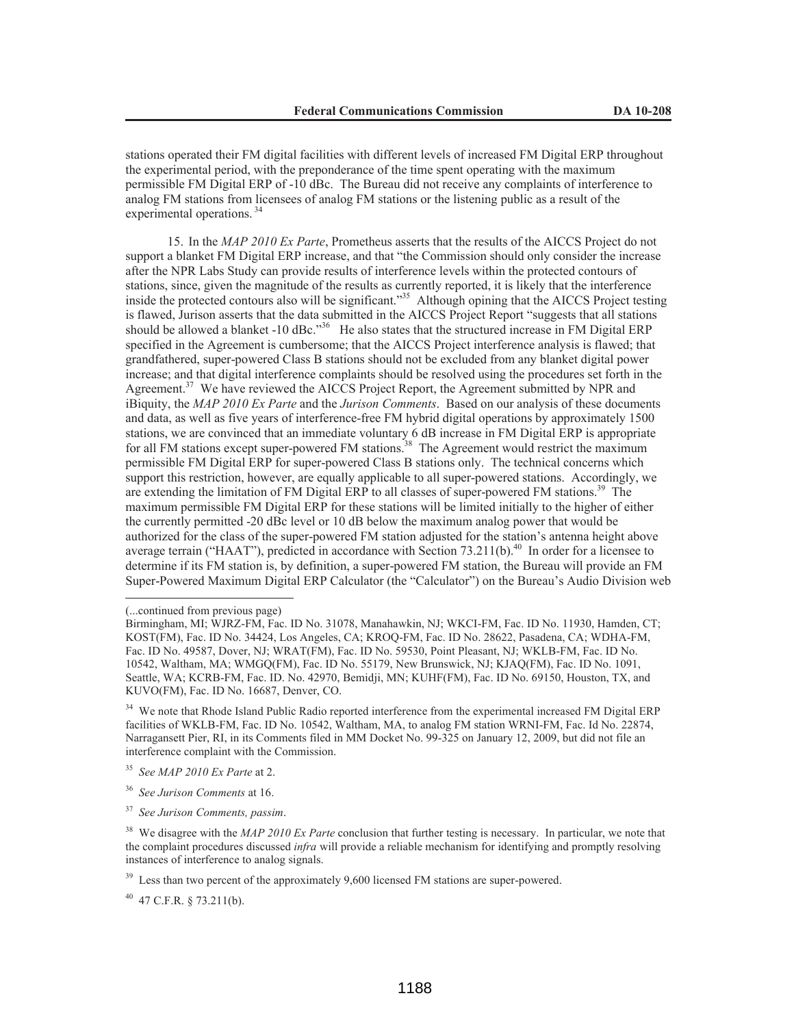stations operated their FM digital facilities with different levels of increased FM Digital ERP throughout the experimental period, with the preponderance of the time spent operating with the maximum permissible FM Digital ERP of -10 dBc. The Bureau did not receive any complaints of interference to analog FM stations from licensees of analog FM stations or the listening public as a result of the experimental operations.<sup>34</sup>

15. In the *MAP 2010 Ex Parte*, Prometheus asserts that the results of the AICCS Project do not support a blanket FM Digital ERP increase, and that "the Commission should only consider the increase after the NPR Labs Study can provide results of interference levels within the protected contours of stations, since, given the magnitude of the results as currently reported, it is likely that the interference inside the protected contours also will be significant."<sup>35</sup> Although opining that the AICCS Project testing is flawed, Jurison asserts that the data submitted in the AICCS Project Report "suggests that all stations should be allowed a blanket -10 dBc."<sup>36</sup> He also states that the structured increase in FM Digital ERP specified in the Agreement is cumbersome; that the AICCS Project interference analysis is flawed; that grandfathered, super-powered Class B stations should not be excluded from any blanket digital power increase; and that digital interference complaints should be resolved using the procedures set forth in the Agreement.<sup>37</sup> We have reviewed the AICCS Project Report, the Agreement submitted by NPR and iBiquity, the *MAP 2010 Ex Parte* and the *Jurison Comments*. Based on our analysis of these documents and data, as well as five years of interference-free FM hybrid digital operations by approximately 1500 stations, we are convinced that an immediate voluntary 6 dB increase in FM Digital ERP is appropriate for all FM stations except super-powered FM stations.<sup>38</sup> The Agreement would restrict the maximum permissible FM Digital ERP for super-powered Class B stations only. The technical concerns which support this restriction, however, are equally applicable to all super-powered stations. Accordingly, we are extending the limitation of FM Digital ERP to all classes of super-powered FM stations.<sup>39</sup> The maximum permissible FM Digital ERP for these stations will be limited initially to the higher of either the currently permitted -20 dBc level or 10 dB below the maximum analog power that would be authorized for the class of the super-powered FM station adjusted for the station's antenna height above average terrain ("HAAT"), predicted in accordance with Section 73.211(b).<sup>40</sup> In order for a licensee to determine if its FM station is, by definition, a super-powered FM station, the Bureau will provide an FM Super-Powered Maximum Digital ERP Calculator (the "Calculator") on the Bureau's Audio Division web

<sup>(...</sup>continued from previous page)

Birmingham, MI; WJRZ-FM, Fac. ID No. 31078, Manahawkin, NJ; WKCI-FM, Fac. ID No. 11930, Hamden, CT; KOST(FM), Fac. ID No. 34424, Los Angeles, CA; KROQ-FM, Fac. ID No. 28622, Pasadena, CA; WDHA-FM, Fac. ID No. 49587, Dover, NJ; WRAT(FM), Fac. ID No. 59530, Point Pleasant, NJ; WKLB-FM, Fac. ID No. 10542, Waltham, MA; WMGQ(FM), Fac. ID No. 55179, New Brunswick, NJ; KJAQ(FM), Fac. ID No. 1091, Seattle, WA; KCRB-FM, Fac. ID. No. 42970, Bemidji, MN; KUHF(FM), Fac. ID No. 69150, Houston, TX, and KUVO(FM), Fac. ID No. 16687, Denver, CO.

<sup>&</sup>lt;sup>34</sup> We note that Rhode Island Public Radio reported interference from the experimental increased FM Digital ERP facilities of WKLB-FM, Fac. ID No. 10542, Waltham, MA, to analog FM station WRNI-FM, Fac. Id No. 22874, Narragansett Pier, RI, in its Comments filed in MM Docket No. 99-325 on January 12, 2009, but did not file an interference complaint with the Commission.

<sup>35</sup> *See MAP 2010 Ex Parte* at 2.

<sup>36</sup> *See Jurison Comments* at 16.

<sup>37</sup> *See Jurison Comments, passim*.

<sup>&</sup>lt;sup>38</sup> We disagree with the *MAP 2010 Ex Parte* conclusion that further testing is necessary. In particular, we note that the complaint procedures discussed *infra* will provide a reliable mechanism for identifying and promptly resolving instances of interference to analog signals.

<sup>&</sup>lt;sup>39</sup> Less than two percent of the approximately 9,600 licensed FM stations are super-powered.

 $40$  47 C.F.R. § 73.211(b).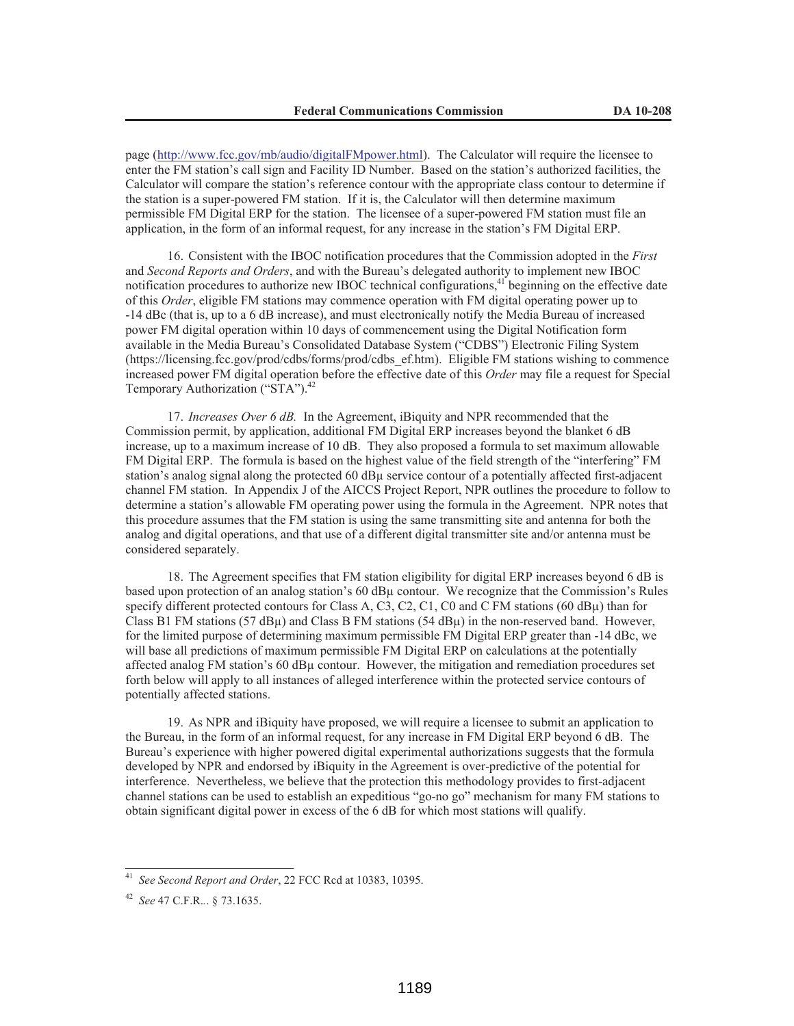page (http://www.fcc.gov/mb/audio/digitalFMpower.html). The Calculator will require the licensee to enter the FM station's call sign and Facility ID Number. Based on the station's authorized facilities, the Calculator will compare the station's reference contour with the appropriate class contour to determine if the station is a super-powered FM station. If it is, the Calculator will then determine maximum permissible FM Digital ERP for the station. The licensee of a super-powered FM station must file an application, in the form of an informal request, for any increase in the station's FM Digital ERP.

16. Consistent with the IBOC notification procedures that the Commission adopted in the *First*  and *Second Reports and Orders*, and with the Bureau's delegated authority to implement new IBOC notification procedures to authorize new IBOC technical configurations,<sup>41</sup> beginning on the effective date of this *Order*, eligible FM stations may commence operation with FM digital operating power up to -14 dBc (that is, up to a 6 dB increase), and must electronically notify the Media Bureau of increased power FM digital operation within 10 days of commencement using the Digital Notification form available in the Media Bureau's Consolidated Database System ("CDBS") Electronic Filing System (https://licensing.fcc.gov/prod/cdbs/forms/prod/cdbs\_ef.htm). Eligible FM stations wishing to commence increased power FM digital operation before the effective date of this *Order* may file a request for Special Temporary Authorization ("STA").<sup>42</sup>

17. *Increases Over 6 dB.* In the Agreement, iBiquity and NPR recommended that the Commission permit, by application, additional FM Digital ERP increases beyond the blanket 6 dB increase, up to a maximum increase of 10 dB. They also proposed a formula to set maximum allowable FM Digital ERP. The formula is based on the highest value of the field strength of the "interfering" FM station's analog signal along the protected 60 dBµ service contour of a potentially affected first-adjacent channel FM station. In Appendix J of the AICCS Project Report, NPR outlines the procedure to follow to determine a station's allowable FM operating power using the formula in the Agreement. NPR notes that this procedure assumes that the FM station is using the same transmitting site and antenna for both the analog and digital operations, and that use of a different digital transmitter site and/or antenna must be considered separately.

18. The Agreement specifies that FM station eligibility for digital ERP increases beyond 6 dB is based upon protection of an analog station's 60 dBµ contour. We recognize that the Commission's Rules specify different protected contours for Class A, C3, C2, C1, C0 and C FM stations (60 dBµ) than for Class B1 FM stations (57 dB $\mu$ ) and Class B FM stations (54 dB $\mu$ ) in the non-reserved band. However, for the limited purpose of determining maximum permissible FM Digital ERP greater than -14 dBc, we will base all predictions of maximum permissible FM Digital ERP on calculations at the potentially affected analog FM station's 60 dBµ contour. However, the mitigation and remediation procedures set forth below will apply to all instances of alleged interference within the protected service contours of potentially affected stations.

19. As NPR and iBiquity have proposed, we will require a licensee to submit an application to the Bureau, in the form of an informal request, for any increase in FM Digital ERP beyond 6 dB. The Bureau's experience with higher powered digital experimental authorizations suggests that the formula developed by NPR and endorsed by iBiquity in the Agreement is over-predictive of the potential for interference. Nevertheless, we believe that the protection this methodology provides to first-adjacent channel stations can be used to establish an expeditious "go-no go" mechanism for many FM stations to obtain significant digital power in excess of the 6 dB for which most stations will qualify.

<sup>41</sup> *See Second Report and Order*, 22 FCC Rcd at 10383, 10395.

<sup>42</sup> *See* 47 C.F.R.*.*. § 73.1635.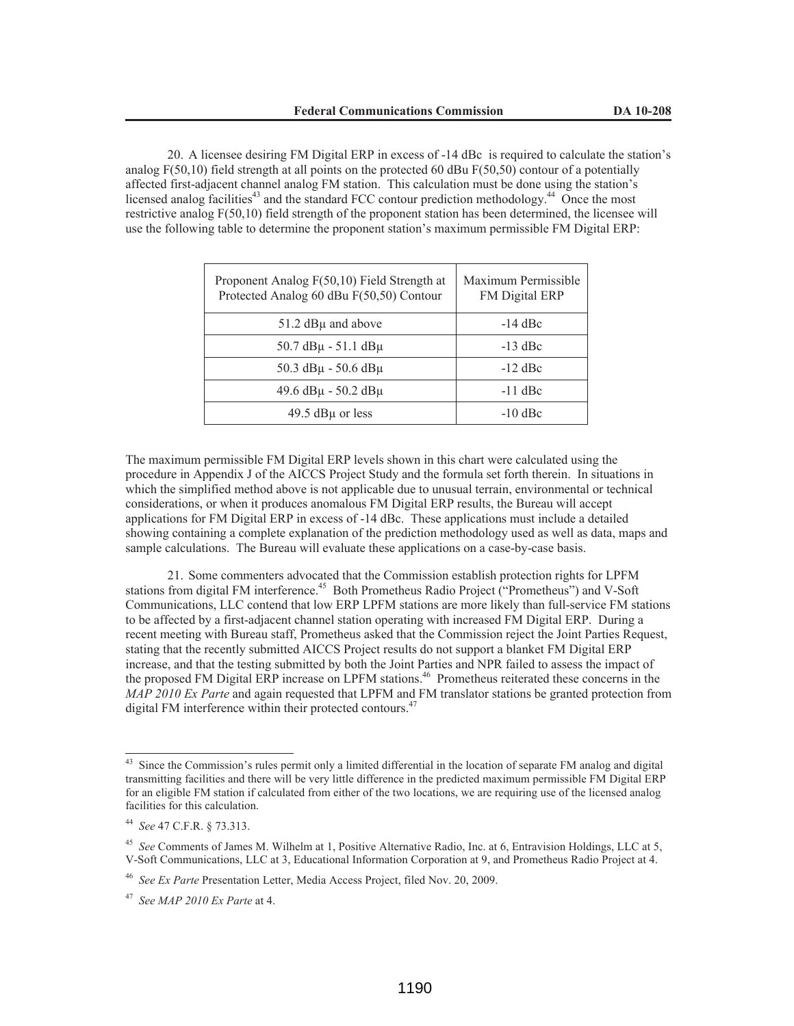20. A licensee desiring FM Digital ERP in excess of -14 dBc is required to calculate the station's analog  $F(50,10)$  field strength at all points on the protected 60 dBu  $F(50,50)$  contour of a potentially affected first-adjacent channel analog FM station. This calculation must be done using the station's licensed analog facilities<sup>43</sup> and the standard FCC contour prediction methodology.<sup>44</sup> Once the most restrictive analog F(50,10) field strength of the proponent station has been determined, the licensee will use the following table to determine the proponent station's maximum permissible FM Digital ERP:

| Proponent Analog F(50,10) Field Strength at<br>Protected Analog 60 dBu F(50,50) Contour | Maximum Permissible<br>FM Digital ERP |
|-----------------------------------------------------------------------------------------|---------------------------------------|
| 51.2 dBµ and above                                                                      | $-14$ dBc                             |
| $50.7$ dB $\mu$ - 51.1 dB $\mu$                                                         | $-13$ dBc                             |
| $50.3$ dB $\mu$ - 50.6 dB $\mu$                                                         | $-12$ dBc                             |
| $49.6$ dB $\mu$ - 50.2 dB $\mu$                                                         | $-11$ dBc                             |
| 49.5 $dB\mu$ or less                                                                    | $-10$ dBc                             |

The maximum permissible FM Digital ERP levels shown in this chart were calculated using the procedure in Appendix J of the AICCS Project Study and the formula set forth therein. In situations in which the simplified method above is not applicable due to unusual terrain, environmental or technical considerations, or when it produces anomalous FM Digital ERP results, the Bureau will accept applications for FM Digital ERP in excess of -14 dBc. These applications must include a detailed showing containing a complete explanation of the prediction methodology used as well as data, maps and sample calculations. The Bureau will evaluate these applications on a case-by-case basis.

21. Some commenters advocated that the Commission establish protection rights for LPFM stations from digital FM interference.<sup>45</sup> Both Prometheus Radio Project ("Prometheus") and V-Soft Communications, LLC contend that low ERP LPFM stations are more likely than full-service FM stations to be affected by a first-adjacent channel station operating with increased FM Digital ERP. During a recent meeting with Bureau staff, Prometheus asked that the Commission reject the Joint Parties Request, stating that the recently submitted AICCS Project results do not support a blanket FM Digital ERP increase, and that the testing submitted by both the Joint Parties and NPR failed to assess the impact of the proposed FM Digital ERP increase on LPFM stations.<sup>46</sup> Prometheus reiterated these concerns in the *MAP 2010 Ex Parte* and again requested that LPFM and FM translator stations be granted protection from digital FM interference within their protected contours.<sup>47</sup>

<sup>&</sup>lt;sup>43</sup> Since the Commission's rules permit only a limited differential in the location of separate FM analog and digital transmitting facilities and there will be very little difference in the predicted maximum permissible FM Digital ERP for an eligible FM station if calculated from either of the two locations, we are requiring use of the licensed analog facilities for this calculation.

<sup>44</sup> *See* 47 C.F.R. § 73.313.

<sup>45</sup> *See* Comments of James M. Wilhelm at 1, Positive Alternative Radio, Inc. at 6, Entravision Holdings, LLC at 5, V-Soft Communications, LLC at 3, Educational Information Corporation at 9, and Prometheus Radio Project at 4.

<sup>46</sup> *See Ex Parte* Presentation Letter, Media Access Project, filed Nov. 20, 2009.

<sup>47</sup> *See MAP 2010 Ex Parte* at 4.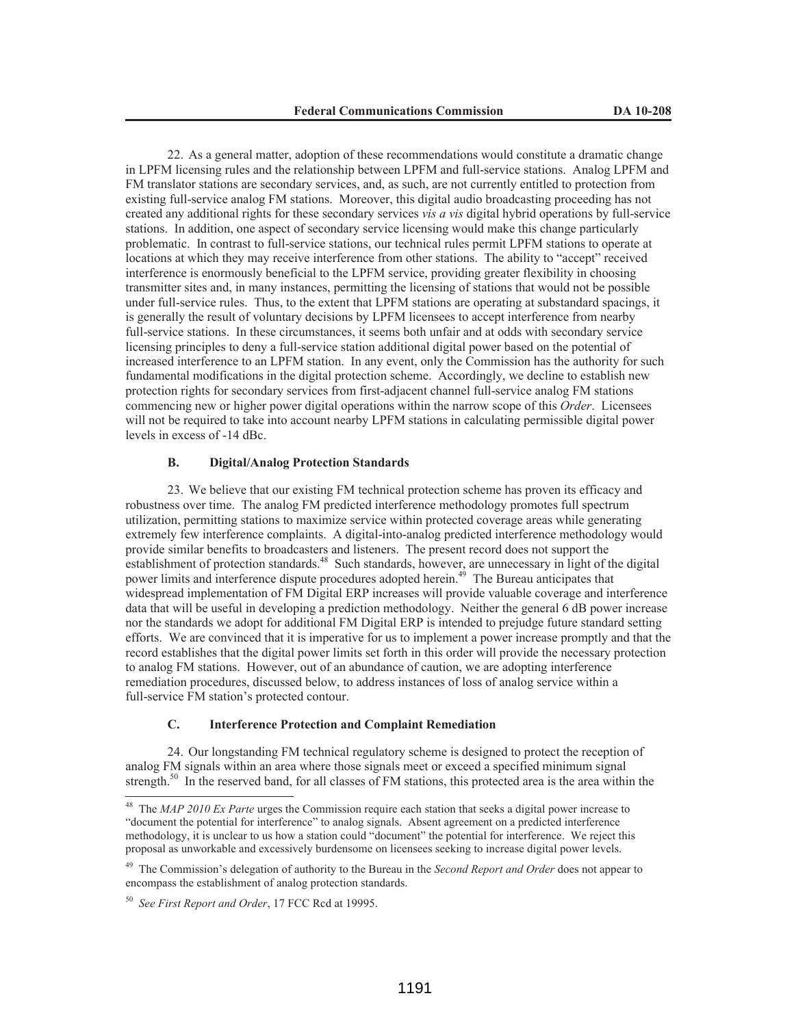22. As a general matter, adoption of these recommendations would constitute a dramatic change in LPFM licensing rules and the relationship between LPFM and full-service stations. Analog LPFM and FM translator stations are secondary services, and, as such, are not currently entitled to protection from existing full-service analog FM stations. Moreover, this digital audio broadcasting proceeding has not created any additional rights for these secondary services *vis a vis* digital hybrid operations by full-service stations. In addition, one aspect of secondary service licensing would make this change particularly problematic. In contrast to full-service stations, our technical rules permit LPFM stations to operate at locations at which they may receive interference from other stations. The ability to "accept" received interference is enormously beneficial to the LPFM service, providing greater flexibility in choosing transmitter sites and, in many instances, permitting the licensing of stations that would not be possible under full-service rules. Thus, to the extent that LPFM stations are operating at substandard spacings, it is generally the result of voluntary decisions by LPFM licensees to accept interference from nearby full-service stations. In these circumstances, it seems both unfair and at odds with secondary service licensing principles to deny a full-service station additional digital power based on the potential of increased interference to an LPFM station. In any event, only the Commission has the authority for such fundamental modifications in the digital protection scheme. Accordingly, we decline to establish new protection rights for secondary services from first-adjacent channel full-service analog FM stations commencing new or higher power digital operations within the narrow scope of this *Order*. Licensees will not be required to take into account nearby LPFM stations in calculating permissible digital power levels in excess of -14 dBc.

## **B. Digital/Analog Protection Standards**

23. We believe that our existing FM technical protection scheme has proven its efficacy and robustness over time. The analog FM predicted interference methodology promotes full spectrum utilization, permitting stations to maximize service within protected coverage areas while generating extremely few interference complaints. A digital-into-analog predicted interference methodology would provide similar benefits to broadcasters and listeners. The present record does not support the establishment of protection standards.<sup>48</sup> Such standards, however, are unnecessary in light of the digital power limits and interference dispute procedures adopted herein.<sup>49</sup> The Bureau anticipates that widespread implementation of FM Digital ERP increases will provide valuable coverage and interference data that will be useful in developing a prediction methodology. Neither the general 6 dB power increase nor the standards we adopt for additional FM Digital ERP is intended to prejudge future standard setting efforts. We are convinced that it is imperative for us to implement a power increase promptly and that the record establishes that the digital power limits set forth in this order will provide the necessary protection to analog FM stations. However, out of an abundance of caution, we are adopting interference remediation procedures, discussed below, to address instances of loss of analog service within a full-service FM station's protected contour.

#### **C. Interference Protection and Complaint Remediation**

24. Our longstanding FM technical regulatory scheme is designed to protect the reception of analog FM signals within an area where those signals meet or exceed a specified minimum signal strength.<sup>50</sup> In the reserved band, for all classes of FM stations, this protected area is the area within the

<sup>48</sup> The *MAP 2010 Ex Parte* urges the Commission require each station that seeks a digital power increase to "document the potential for interference" to analog signals. Absent agreement on a predicted interference methodology, it is unclear to us how a station could "document" the potential for interference. We reject this proposal as unworkable and excessively burdensome on licensees seeking to increase digital power levels.

<sup>49</sup> The Commission's delegation of authority to the Bureau in the *Second Report and Order* does not appear to encompass the establishment of analog protection standards.

<sup>50</sup> *See First Report and Order*, 17 FCC Rcd at 19995.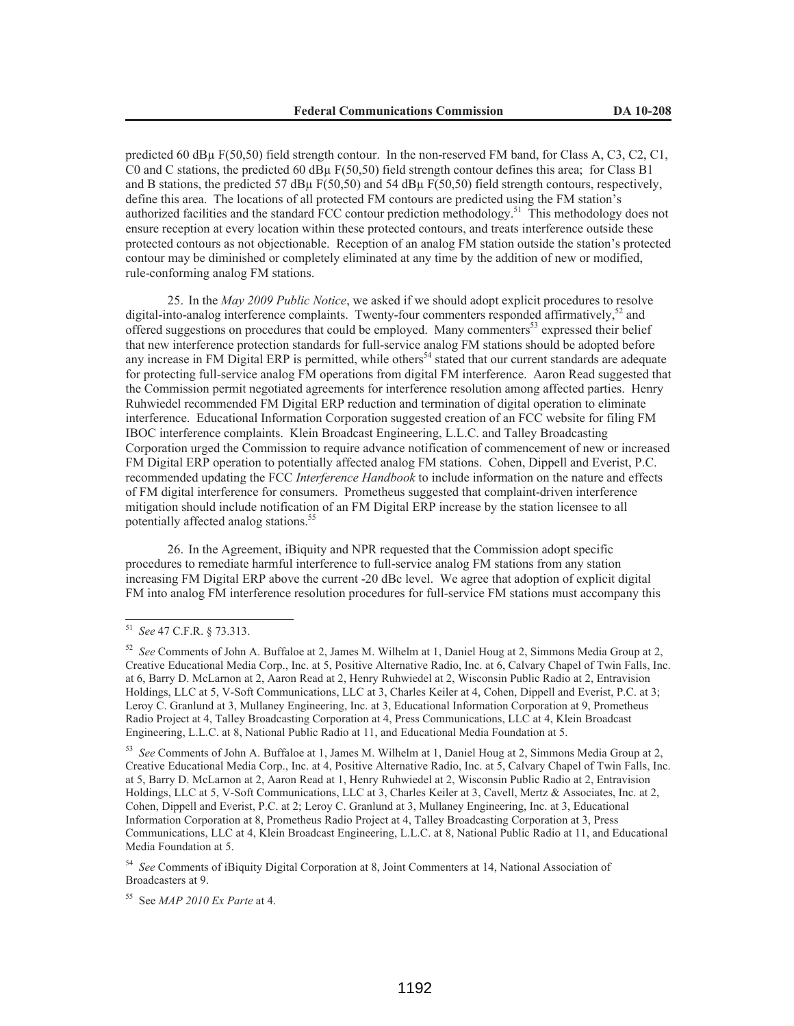predicted 60 dBµ F(50,50) field strength contour. In the non-reserved FM band, for Class A, C3, C2, C1, C0 and C stations, the predicted 60 dBµ F(50,50) field strength contour defines this area; for Class B1 and B stations, the predicted 57 dB $\mu$  F(50,50) and 54 dB $\mu$  F(50,50) field strength contours, respectively, define this area. The locations of all protected FM contours are predicted using the FM station's authorized facilities and the standard FCC contour prediction methodology.<sup>51</sup> This methodology does not ensure reception at every location within these protected contours, and treats interference outside these protected contours as not objectionable. Reception of an analog FM station outside the station's protected contour may be diminished or completely eliminated at any time by the addition of new or modified, rule-conforming analog FM stations.

25. In the *May 2009 Public Notice*, we asked if we should adopt explicit procedures to resolve digital-into-analog interference complaints. Twenty-four commenters responded affirmatively,<sup>52</sup> and offered suggestions on procedures that could be employed. Many commenters<sup>53</sup> expressed their belief that new interference protection standards for full-service analog FM stations should be adopted before any increase in FM Digital ERP is permitted, while others<sup>54</sup> stated that our current standards are adequate for protecting full-service analog FM operations from digital FM interference. Aaron Read suggested that the Commission permit negotiated agreements for interference resolution among affected parties. Henry Ruhwiedel recommended FM Digital ERP reduction and termination of digital operation to eliminate interference. Educational Information Corporation suggested creation of an FCC website for filing FM IBOC interference complaints. Klein Broadcast Engineering, L.L.C. and Talley Broadcasting Corporation urged the Commission to require advance notification of commencement of new or increased FM Digital ERP operation to potentially affected analog FM stations. Cohen, Dippell and Everist, P.C. recommended updating the FCC *Interference Handbook* to include information on the nature and effects of FM digital interference for consumers. Prometheus suggested that complaint-driven interference mitigation should include notification of an FM Digital ERP increase by the station licensee to all potentially affected analog stations.<sup>55</sup>

26. In the Agreement, iBiquity and NPR requested that the Commission adopt specific procedures to remediate harmful interference to full-service analog FM stations from any station increasing FM Digital ERP above the current -20 dBc level. We agree that adoption of explicit digital FM into analog FM interference resolution procedures for full-service FM stations must accompany this

<sup>54</sup> *See* Comments of iBiquity Digital Corporation at 8, Joint Commenters at 14, National Association of Broadcasters at 9.

<sup>55</sup> See *MAP 2010 Ex Parte* at 4.

<sup>51</sup> *See* 47 C.F.R. § 73.313.

<sup>52</sup> *See* Comments of John A. Buffaloe at 2, James M. Wilhelm at 1, Daniel Houg at 2, Simmons Media Group at 2, Creative Educational Media Corp., Inc. at 5, Positive Alternative Radio, Inc. at 6, Calvary Chapel of Twin Falls, Inc. at 6, Barry D. McLarnon at 2, Aaron Read at 2, Henry Ruhwiedel at 2, Wisconsin Public Radio at 2, Entravision Holdings, LLC at 5, V-Soft Communications, LLC at 3, Charles Keiler at 4, Cohen, Dippell and Everist, P.C. at 3; Leroy C. Granlund at 3, Mullaney Engineering, Inc. at 3, Educational Information Corporation at 9, Prometheus Radio Project at 4, Talley Broadcasting Corporation at 4, Press Communications, LLC at 4, Klein Broadcast Engineering, L.L.C. at 8, National Public Radio at 11, and Educational Media Foundation at 5.

<sup>53</sup> *See* Comments of John A. Buffaloe at 1, James M. Wilhelm at 1, Daniel Houg at 2, Simmons Media Group at 2, Creative Educational Media Corp., Inc. at 4, Positive Alternative Radio, Inc. at 5, Calvary Chapel of Twin Falls, Inc. at 5, Barry D. McLarnon at 2, Aaron Read at 1, Henry Ruhwiedel at 2, Wisconsin Public Radio at 2, Entravision Holdings, LLC at 5, V-Soft Communications, LLC at 3, Charles Keiler at 3, Cavell, Mertz & Associates, Inc. at 2, Cohen, Dippell and Everist, P.C. at 2; Leroy C. Granlund at 3, Mullaney Engineering, Inc. at 3, Educational Information Corporation at 8, Prometheus Radio Project at 4, Talley Broadcasting Corporation at 3, Press Communications, LLC at 4, Klein Broadcast Engineering, L.L.C. at 8, National Public Radio at 11, and Educational Media Foundation at 5.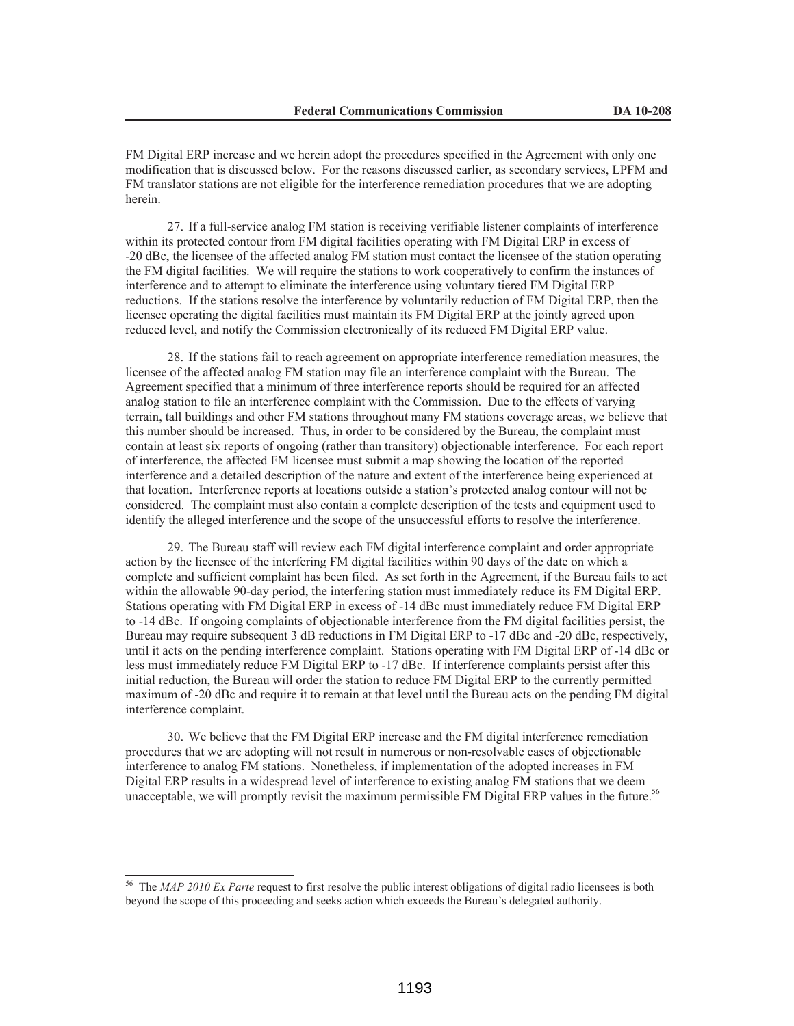FM Digital ERP increase and we herein adopt the procedures specified in the Agreement with only one modification that is discussed below. For the reasons discussed earlier, as secondary services, LPFM and FM translator stations are not eligible for the interference remediation procedures that we are adopting herein.

27. If a full-service analog FM station is receiving verifiable listener complaints of interference within its protected contour from FM digital facilities operating with FM Digital ERP in excess of -20 dBc, the licensee of the affected analog FM station must contact the licensee of the station operating the FM digital facilities. We will require the stations to work cooperatively to confirm the instances of interference and to attempt to eliminate the interference using voluntary tiered FM Digital ERP reductions. If the stations resolve the interference by voluntarily reduction of FM Digital ERP, then the licensee operating the digital facilities must maintain its FM Digital ERP at the jointly agreed upon reduced level, and notify the Commission electronically of its reduced FM Digital ERP value.

28. If the stations fail to reach agreement on appropriate interference remediation measures, the licensee of the affected analog FM station may file an interference complaint with the Bureau. The Agreement specified that a minimum of three interference reports should be required for an affected analog station to file an interference complaint with the Commission. Due to the effects of varying terrain, tall buildings and other FM stations throughout many FM stations coverage areas, we believe that this number should be increased. Thus, in order to be considered by the Bureau, the complaint must contain at least six reports of ongoing (rather than transitory) objectionable interference. For each report of interference, the affected FM licensee must submit a map showing the location of the reported interference and a detailed description of the nature and extent of the interference being experienced at that location. Interference reports at locations outside a station's protected analog contour will not be considered. The complaint must also contain a complete description of the tests and equipment used to identify the alleged interference and the scope of the unsuccessful efforts to resolve the interference.

29. The Bureau staff will review each FM digital interference complaint and order appropriate action by the licensee of the interfering FM digital facilities within 90 days of the date on which a complete and sufficient complaint has been filed. As set forth in the Agreement, if the Bureau fails to act within the allowable 90-day period, the interfering station must immediately reduce its FM Digital ERP. Stations operating with FM Digital ERP in excess of -14 dBc must immediately reduce FM Digital ERP to -14 dBc. If ongoing complaints of objectionable interference from the FM digital facilities persist, the Bureau may require subsequent 3 dB reductions in FM Digital ERP to -17 dBc and -20 dBc, respectively, until it acts on the pending interference complaint. Stations operating with FM Digital ERP of -14 dBc or less must immediately reduce FM Digital ERP to -17 dBc. If interference complaints persist after this initial reduction, the Bureau will order the station to reduce FM Digital ERP to the currently permitted maximum of -20 dBc and require it to remain at that level until the Bureau acts on the pending FM digital interference complaint.

30. We believe that the FM Digital ERP increase and the FM digital interference remediation procedures that we are adopting will not result in numerous or non-resolvable cases of objectionable interference to analog FM stations. Nonetheless, if implementation of the adopted increases in FM Digital ERP results in a widespread level of interference to existing analog FM stations that we deem unacceptable, we will promptly revisit the maximum permissible FM Digital ERP values in the future.<sup>56</sup>

<sup>56</sup> The *MAP 2010 Ex Parte* request to first resolve the public interest obligations of digital radio licensees is both beyond the scope of this proceeding and seeks action which exceeds the Bureau's delegated authority.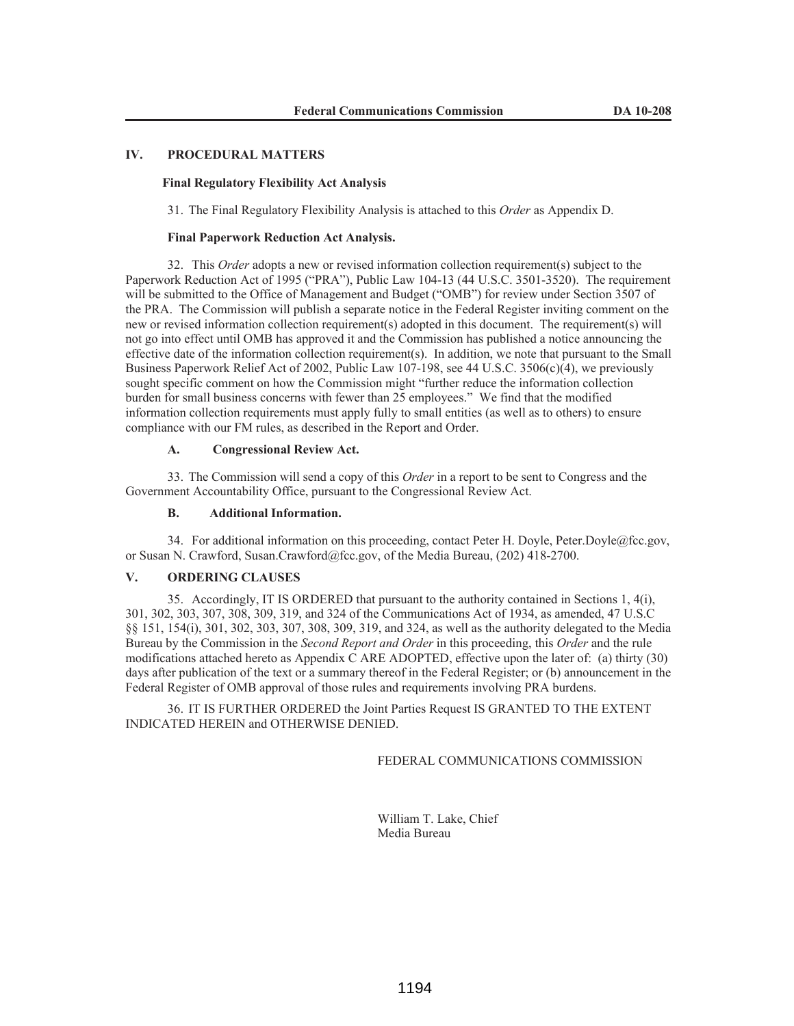# **IV. PROCEDURAL MATTERS**

## **Final Regulatory Flexibility Act Analysis**

31. The Final Regulatory Flexibility Analysis is attached to this *Order* as Appendix D.

### **Final Paperwork Reduction Act Analysis.**

32. This *Order* adopts a new or revised information collection requirement(s) subject to the Paperwork Reduction Act of 1995 ("PRA"), Public Law 104-13 (44 U.S.C. 3501-3520). The requirement will be submitted to the Office of Management and Budget ("OMB") for review under Section 3507 of the PRA. The Commission will publish a separate notice in the Federal Register inviting comment on the new or revised information collection requirement(s) adopted in this document. The requirement(s) will not go into effect until OMB has approved it and the Commission has published a notice announcing the effective date of the information collection requirement(s). In addition, we note that pursuant to the Small Business Paperwork Relief Act of 2002, Public Law 107-198, see 44 U.S.C. 3506(c)(4), we previously sought specific comment on how the Commission might "further reduce the information collection burden for small business concerns with fewer than 25 employees." We find that the modified information collection requirements must apply fully to small entities (as well as to others) to ensure compliance with our FM rules, as described in the Report and Order.

## **A. Congressional Review Act.**

33. The Commission will send a copy of this *Order* in a report to be sent to Congress and the Government Accountability Office, pursuant to the Congressional Review Act.

# **B. Additional Information.**

34. For additional information on this proceeding, contact Peter H. Doyle, Peter.Doyle@fcc.gov, or Susan N. Crawford, Susan.Crawford@fcc.gov, of the Media Bureau, (202) 418-2700.

## **V. ORDERING CLAUSES**

35. Accordingly, IT IS ORDERED that pursuant to the authority contained in Sections 1, 4(i), 301, 302, 303, 307, 308, 309, 319, and 324 of the Communications Act of 1934, as amended, 47 U.S.C §§ 151, 154(i), 301, 302, 303, 307, 308, 309, 319, and 324, as well as the authority delegated to the Media Bureau by the Commission in the *Second Report and Order* in this proceeding, this *Order* and the rule modifications attached hereto as Appendix C ARE ADOPTED, effective upon the later of: (a) thirty (30) days after publication of the text or a summary thereof in the Federal Register; or (b) announcement in the Federal Register of OMB approval of those rules and requirements involving PRA burdens.

36. IT IS FURTHER ORDERED the Joint Parties Request IS GRANTED TO THE EXTENT INDICATED HEREIN and OTHERWISE DENIED.

FEDERAL COMMUNICATIONS COMMISSION

William T. Lake, Chief Media Bureau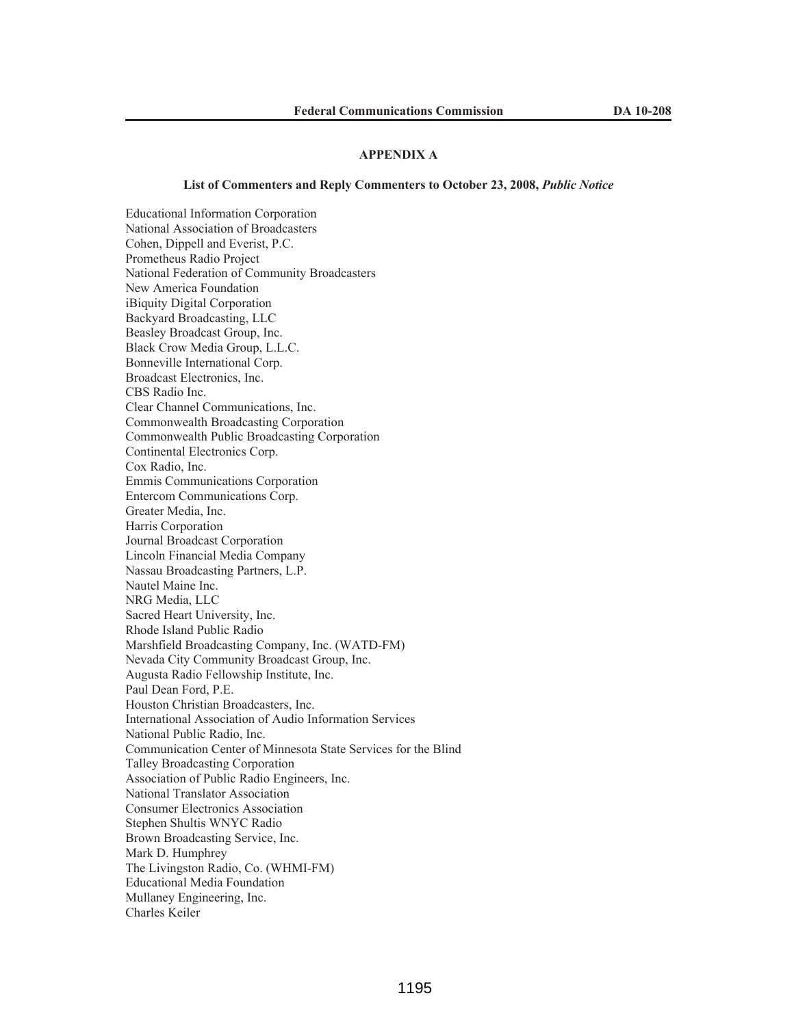### **APPENDIX A**

### **List of Commenters and Reply Commenters to October 23, 2008,** *Public Notice*

Educational Information Corporation National Association of Broadcasters Cohen, Dippell and Everist, P.C. Prometheus Radio Project National Federation of Community Broadcasters New America Foundation iBiquity Digital Corporation Backyard Broadcasting, LLC Beasley Broadcast Group, Inc. Black Crow Media Group, L.L.C. Bonneville International Corp. Broadcast Electronics, Inc. CBS Radio Inc. Clear Channel Communications, Inc. Commonwealth Broadcasting Corporation Commonwealth Public Broadcasting Corporation Continental Electronics Corp. Cox Radio, Inc. Emmis Communications Corporation Entercom Communications Corp. Greater Media, Inc. Harris Corporation Journal Broadcast Corporation Lincoln Financial Media Company Nassau Broadcasting Partners, L.P. Nautel Maine Inc. NRG Media, LLC Sacred Heart University, Inc. Rhode Island Public Radio Marshfield Broadcasting Company, Inc. (WATD-FM) Nevada City Community Broadcast Group, Inc. Augusta Radio Fellowship Institute, Inc. Paul Dean Ford, P.E. Houston Christian Broadcasters, Inc. International Association of Audio Information Services National Public Radio, Inc. Communication Center of Minnesota State Services for the Blind Talley Broadcasting Corporation Association of Public Radio Engineers, Inc. National Translator Association Consumer Electronics Association Stephen Shultis WNYC Radio Brown Broadcasting Service, Inc. Mark D. Humphrey The Livingston Radio, Co. (WHMI-FM) Educational Media Foundation Mullaney Engineering, Inc. Charles Keiler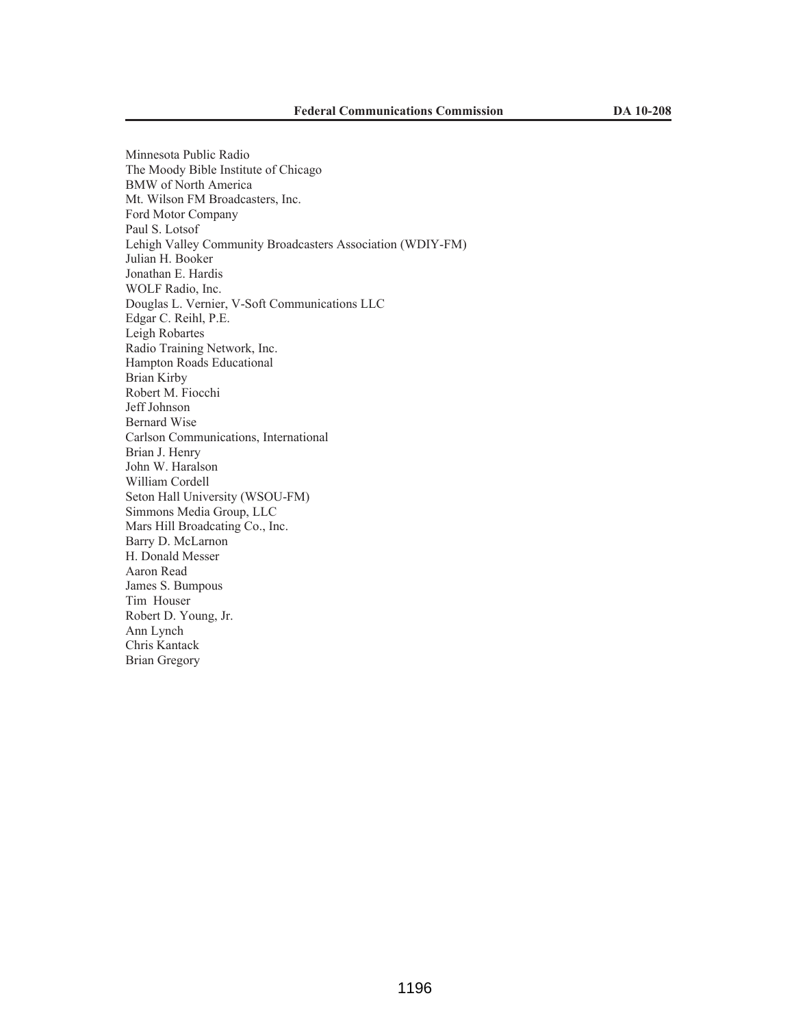Minnesota Public Radio The Moody Bible Institute of Chicago BMW of North America Mt. Wilson FM Broadcasters, Inc. Ford Motor Company Paul S. Lotsof Lehigh Valley Community Broadcasters Association (WDIY-FM) Julian H. Booker Jonathan E. Hardis WOLF Radio, Inc. Douglas L. Vernier, V-Soft Communications LLC Edgar C. Reihl, P.E. Leigh Robartes Radio Training Network, Inc. Hampton Roads Educational Brian Kirby Robert M. Fiocchi Jeff Johnson Bernard Wise Carlson Communications, International Brian J. Henry John W. Haralson William Cordell Seton Hall University (WSOU-FM) Simmons Media Group, LLC Mars Hill Broadcating Co., Inc. Barry D. McLarnon H. Donald Messer Aaron Read James S. Bumpous Tim Houser Robert D. Young, Jr. Ann Lynch Chris Kantack Brian Gregory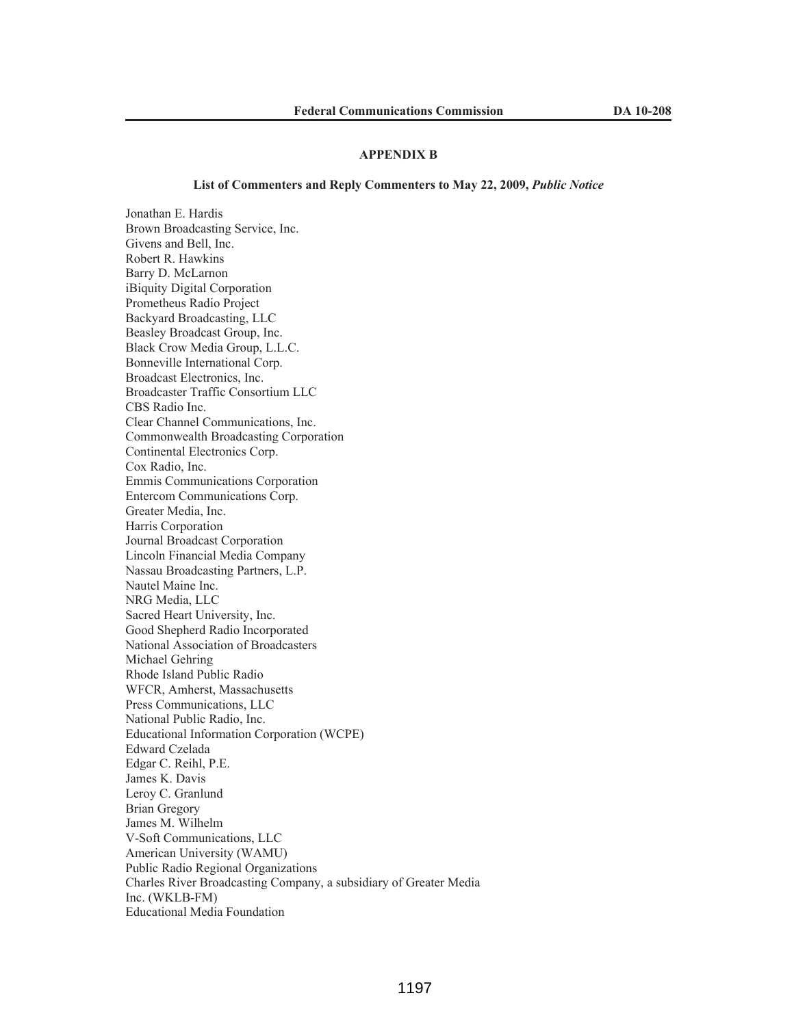# **APPENDIX B**

#### List of Commenters and Reply Commenters to May 22, 2009, *Public Notice*

Jonathan E. Hardis Brown Broadcasting Service, Inc. Givens and Bell, Inc. Robert R. Hawkins Barry D. McLarnon iBiquity Digital Corporation Prometheus Radio Project Backyard Broadcasting, LLC Beasley Broadcast Group, Inc. Black Crow Media Group, L.L.C. Bonneville International Corp. Broadcast Electronics, Inc. Broadcaster Traffic Consortium LLC CBS Radio Inc. Clear Channel Communications, Inc. Commonwealth Broadcasting Corporation Continental Electronics Corp. Cox Radio, Inc. Emmis Communications Corporation Entercom Communications Corp. Greater Media, Inc. Harris Corporation Journal Broadcast Corporation Lincoln Financial Media Company Nassau Broadcasting Partners, L.P. Nautel Maine Inc. NRG Media, LLC Sacred Heart University, Inc. Good Shepherd Radio Incorporated National Association of Broadcasters Michael Gehring Rhode Island Public Radio WFCR, Amherst, Massachusetts Press Communications, LLC National Public Radio, Inc. Educational Information Corporation (WCPE) Edward Czelada Edgar C. Reihl, P.E. James K. Davis Leroy C. Granlund Brian Gregory James M. Wilhelm V-Soft Communications, LLC American University (WAMU) Public Radio Regional Organizations Charles River Broadcasting Company, a subsidiary of Greater Media Inc. (WKLB-FM) Educational Media Foundation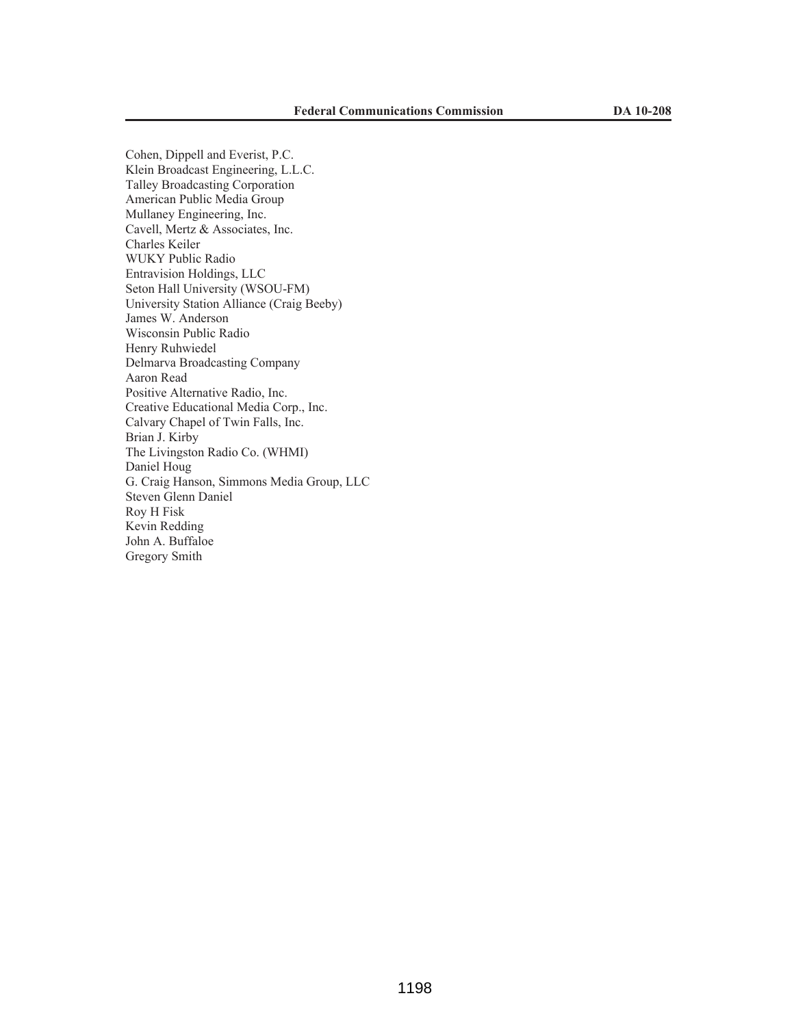Cohen, Dippell and Everist, P.C. Klein Broadcast Engineering, L.L.C. Talley Broadcasting Corporation American Public Media Group Mullaney Engineering, Inc. Cavell, Mertz & Associates, Inc. Charles Keiler WUKY Public Radio Entravision Holdings, LLC Seton Hall University (WSOU-FM) University Station Alliance (Craig Beeby) James W. Anderson Wisconsin Public Radio Henry Ruhwiedel Delmarva Broadcasting Company Aaron Read Positive Alternative Radio, Inc. Creative Educational Media Corp., Inc. Calvary Chapel of Twin Falls, Inc. Brian J. Kirby The Livingston Radio Co. (WHMI) Daniel Houg G. Craig Hanson, Simmons Media Group, LLC Steven Glenn Daniel Roy H Fisk Kevin Redding John A. Buffaloe Gregory Smith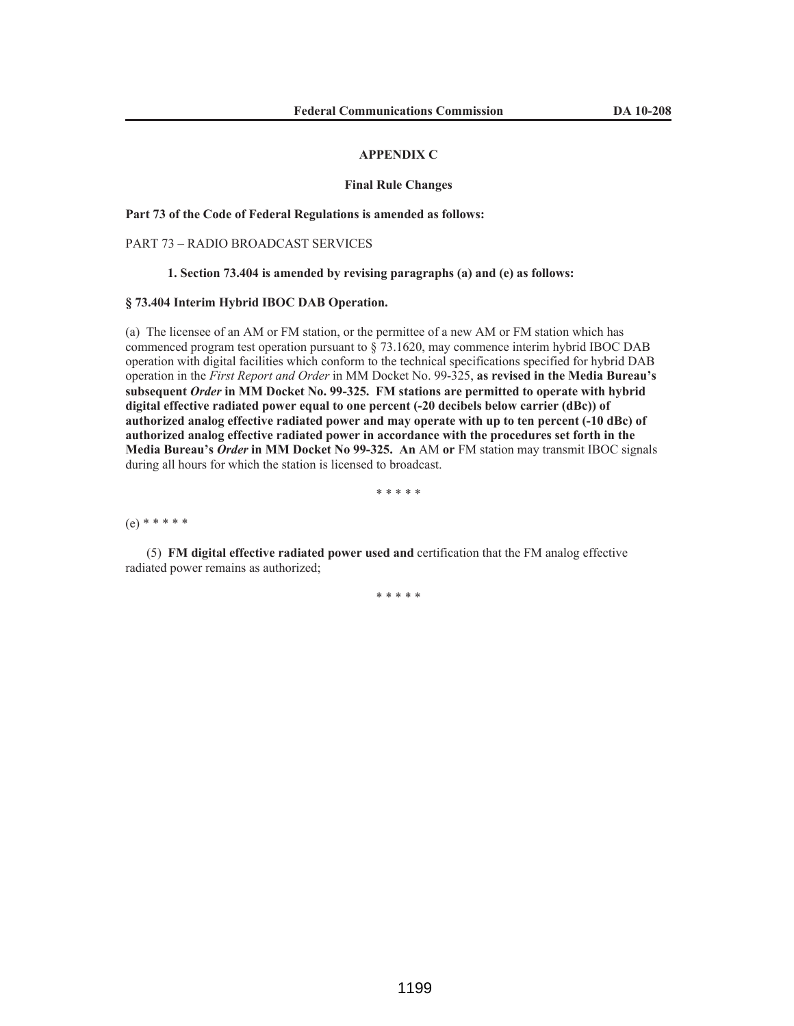#### **APPENDIX C**

#### **Final Rule Changes**

**Part 73 of the Code of Federal Regulations is amended as follows:**

## PART 73 – RADIO BROADCAST SERVICES

### **1. Section 73.404 is amended by revising paragraphs (a) and (e) as follows:**

# **§ 73.404 Interim Hybrid IBOC DAB Operation.**

(a) The licensee of an AM or FM station, or the permittee of a new AM or FM station which has commenced program test operation pursuant to § 73.1620, may commence interim hybrid IBOC DAB operation with digital facilities which conform to the technical specifications specified for hybrid DAB operation in the *First Report and Order* in MM Docket No. 99-325, **as revised in the Media Bureau's subsequent** *Order* **in MM Docket No. 99-325. FM stations are permitted to operate with hybrid digital effective radiated power equal to one percent (-20 decibels below carrier (dBc)) of authorized analog effective radiated power and may operate with up to ten percent (-10 dBc) of authorized analog effective radiated power in accordance with the procedures set forth in the Media Bureau's** *Order* **in MM Docket No 99-325. An** AM **or** FM station may transmit IBOC signals during all hours for which the station is licensed to broadcast.

\* \* \* \* \*

(e) \* \* \* \* \*

(5) **FM digital effective radiated power used and** certification that the FM analog effective radiated power remains as authorized;

\* \* \* \* \*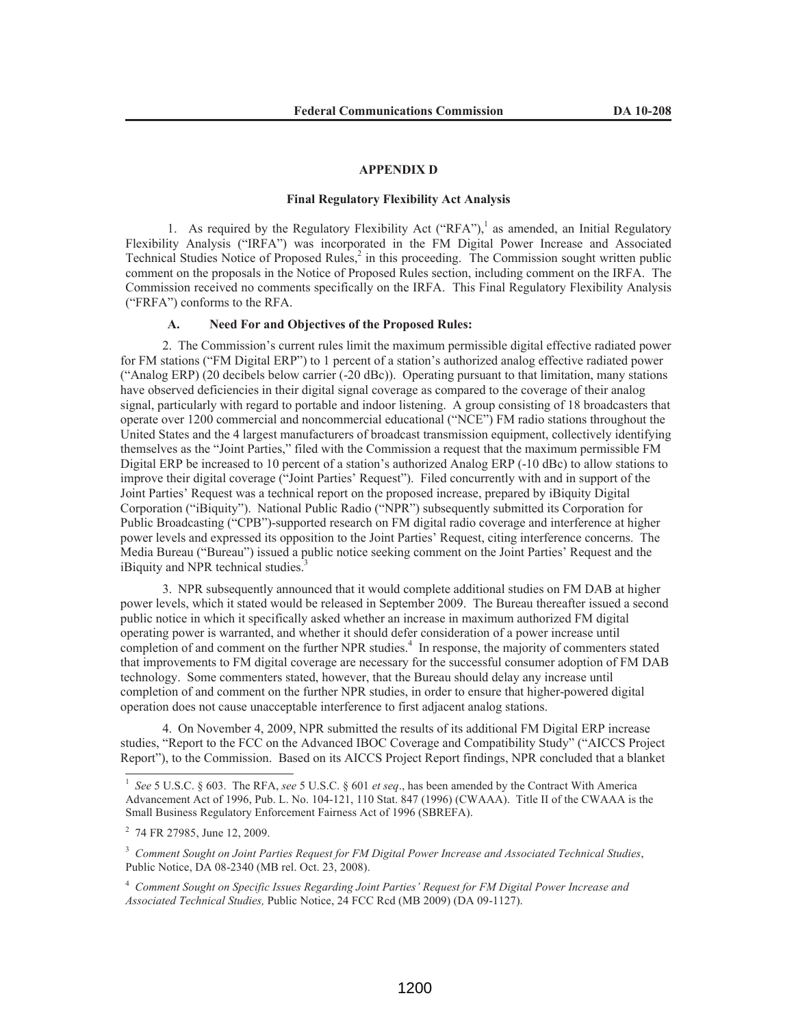### **APPENDIX D**

### **Final Regulatory Flexibility Act Analysis**

1. As required by the Regulatory Flexibility Act  $("RFA")$ ,<sup>1</sup> as amended, an Initial Regulatory Flexibility Analysis ("IRFA") was incorporated in the FM Digital Power Increase and Associated Technical Studies Notice of Proposed Rules,<sup>2</sup> in this proceeding. The Commission sought written public comment on the proposals in the Notice of Proposed Rules section, including comment on the IRFA. The Commission received no comments specifically on the IRFA. This Final Regulatory Flexibility Analysis ("FRFA") conforms to the RFA.

### **A. Need For and Objectives of the Proposed Rules:**

2. The Commission's current rules limit the maximum permissible digital effective radiated power for FM stations ("FM Digital ERP") to 1 percent of a station's authorized analog effective radiated power ("Analog ERP) (20 decibels below carrier (-20 dBc)). Operating pursuant to that limitation, many stations have observed deficiencies in their digital signal coverage as compared to the coverage of their analog signal, particularly with regard to portable and indoor listening. A group consisting of 18 broadcasters that operate over 1200 commercial and noncommercial educational ("NCE") FM radio stations throughout the United States and the 4 largest manufacturers of broadcast transmission equipment, collectively identifying themselves as the "Joint Parties," filed with the Commission a request that the maximum permissible FM Digital ERP be increased to 10 percent of a station's authorized Analog ERP (-10 dBc) to allow stations to improve their digital coverage ("Joint Parties' Request"). Filed concurrently with and in support of the Joint Parties' Request was a technical report on the proposed increase, prepared by iBiquity Digital Corporation ("iBiquity"). National Public Radio ("NPR") subsequently submitted its Corporation for Public Broadcasting ("CPB")-supported research on FM digital radio coverage and interference at higher power levels and expressed its opposition to the Joint Parties' Request, citing interference concerns. The Media Bureau ("Bureau") issued a public notice seeking comment on the Joint Parties' Request and the iBiquity and NPR technical studies.<sup>3</sup>

3. NPR subsequently announced that it would complete additional studies on FM DAB at higher power levels, which it stated would be released in September 2009. The Bureau thereafter issued a second public notice in which it specifically asked whether an increase in maximum authorized FM digital operating power is warranted, and whether it should defer consideration of a power increase until completion of and comment on the further NPR studies.<sup>4</sup> In response, the majority of commenters stated that improvements to FM digital coverage are necessary for the successful consumer adoption of FM DAB technology. Some commenters stated, however, that the Bureau should delay any increase until completion of and comment on the further NPR studies, in order to ensure that higher-powered digital operation does not cause unacceptable interference to first adjacent analog stations.

4. On November 4, 2009, NPR submitted the results of its additional FM Digital ERP increase studies, "Report to the FCC on the Advanced IBOC Coverage and Compatibility Study" ("AICCS Project Report"), to the Commission. Based on its AICCS Project Report findings, NPR concluded that a blanket

<sup>1</sup> *See* 5 U.S.C. § 603. The RFA, *see* 5 U.S.C. § 601 *et seq*., has been amended by the Contract With America Advancement Act of 1996, Pub. L. No. 104-121, 110 Stat. 847 (1996) (CWAAA). Title II of the CWAAA is the Small Business Regulatory Enforcement Fairness Act of 1996 (SBREFA).

<sup>&</sup>lt;sup>2</sup> 74 FR 27985, June 12, 2009.

<sup>3</sup> *Comment Sought on Joint Parties Request for FM Digital Power Increase and Associated Technical Studies*, Public Notice, DA 08-2340 (MB rel. Oct. 23, 2008).

<sup>4</sup> *Comment Sought on Specific Issues Regarding Joint Parties' Request for FM Digital Power Increase and Associated Technical Studies,* Public Notice, 24 FCC Rcd (MB 2009) (DA 09-1127).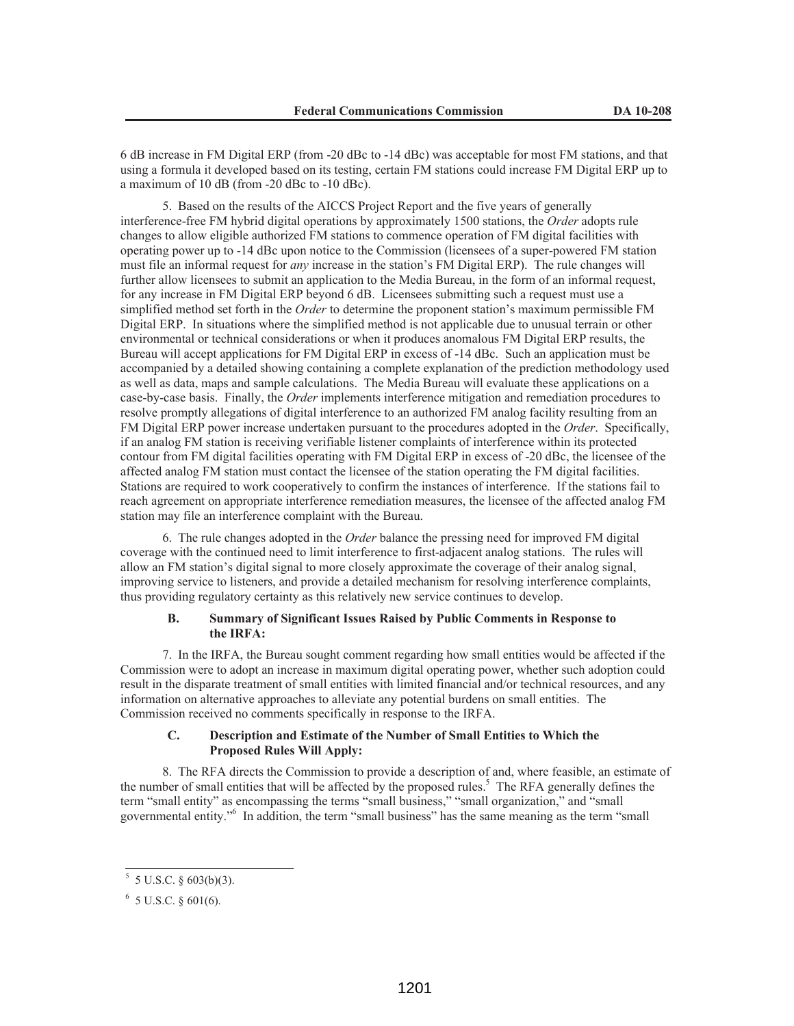6 dB increase in FM Digital ERP (from -20 dBc to -14 dBc) was acceptable for most FM stations, and that using a formula it developed based on its testing, certain FM stations could increase FM Digital ERP up to a maximum of 10 dB (from -20 dBc to -10 dBc).

5. Based on the results of the AICCS Project Report and the five years of generally interference-free FM hybrid digital operations by approximately 1500 stations, the *Order* adopts rule changes to allow eligible authorized FM stations to commence operation of FM digital facilities with operating power up to -14 dBc upon notice to the Commission (licensees of a super-powered FM station must file an informal request for *any* increase in the station's FM Digital ERP). The rule changes will further allow licensees to submit an application to the Media Bureau, in the form of an informal request, for any increase in FM Digital ERP beyond 6 dB. Licensees submitting such a request must use a simplified method set forth in the *Order* to determine the proponent station's maximum permissible FM Digital ERP. In situations where the simplified method is not applicable due to unusual terrain or other environmental or technical considerations or when it produces anomalous FM Digital ERP results, the Bureau will accept applications for FM Digital ERP in excess of -14 dBc. Such an application must be accompanied by a detailed showing containing a complete explanation of the prediction methodology used as well as data, maps and sample calculations. The Media Bureau will evaluate these applications on a case-by-case basis. Finally, the *Order* implements interference mitigation and remediation procedures to resolve promptly allegations of digital interference to an authorized FM analog facility resulting from an FM Digital ERP power increase undertaken pursuant to the procedures adopted in the *Order*. Specifically, if an analog FM station is receiving verifiable listener complaints of interference within its protected contour from FM digital facilities operating with FM Digital ERP in excess of -20 dBc, the licensee of the affected analog FM station must contact the licensee of the station operating the FM digital facilities. Stations are required to work cooperatively to confirm the instances of interference. If the stations fail to reach agreement on appropriate interference remediation measures, the licensee of the affected analog FM station may file an interference complaint with the Bureau.

6. The rule changes adopted in the *Order* balance the pressing need for improved FM digital coverage with the continued need to limit interference to first-adjacent analog stations. The rules will allow an FM station's digital signal to more closely approximate the coverage of their analog signal, improving service to listeners, and provide a detailed mechanism for resolving interference complaints, thus providing regulatory certainty as this relatively new service continues to develop.

## **B. Summary of Significant Issues Raised by Public Comments in Response to the IRFA:**

7. In the IRFA, the Bureau sought comment regarding how small entities would be affected if the Commission were to adopt an increase in maximum digital operating power, whether such adoption could result in the disparate treatment of small entities with limited financial and/or technical resources, and any information on alternative approaches to alleviate any potential burdens on small entities. The Commission received no comments specifically in response to the IRFA.

# **C. Description and Estimate of the Number of Small Entities to Which the Proposed Rules Will Apply:**

8. The RFA directs the Commission to provide a description of and, where feasible, an estimate of the number of small entities that will be affected by the proposed rules.<sup>5</sup> The RFA generally defines the term "small entity" as encompassing the terms "small business," "small organization," and "small governmental entity."<sup>6</sup> In addition, the term "small business" has the same meaning as the term "small

 $5$  5 U.S.C. § 603(b)(3).

 $6\,$  5 U.S.C. § 601(6).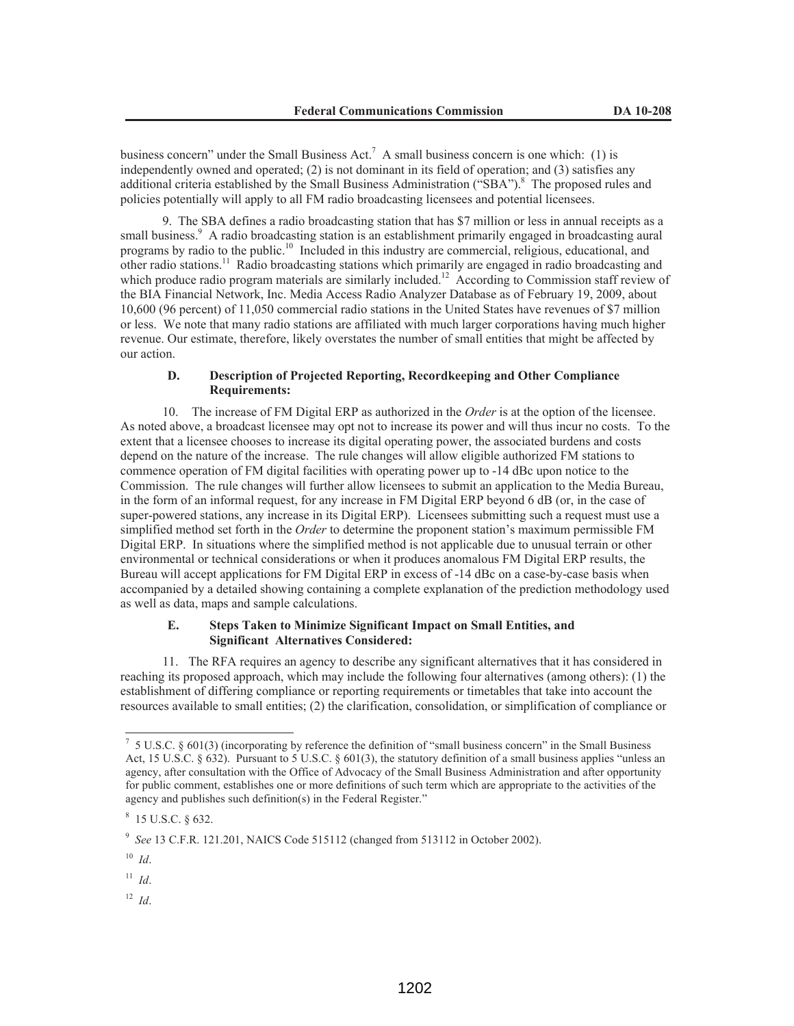business concern" under the Small Business Act.<sup>7</sup> A small business concern is one which: (1) is independently owned and operated; (2) is not dominant in its field of operation; and (3) satisfies any additional criteria established by the Small Business Administration ("SBA").<sup>8</sup> The proposed rules and policies potentially will apply to all FM radio broadcasting licensees and potential licensees.

9. The SBA defines a radio broadcasting station that has \$7 million or less in annual receipts as a small business.<sup>9</sup> A radio broadcasting station is an establishment primarily engaged in broadcasting aural programs by radio to the public.<sup>10</sup> Included in this industry are commercial, religious, educational, and other radio stations.<sup>11</sup> Radio broadcasting stations which primarily are engaged in radio broadcasting and which produce radio program materials are similarly included.<sup>12</sup> According to Commission staff review of the BIA Financial Network, Inc. Media Access Radio Analyzer Database as of February 19, 2009, about 10,600 (96 percent) of 11,050 commercial radio stations in the United States have revenues of \$7 million or less. We note that many radio stations are affiliated with much larger corporations having much higher revenue. Our estimate, therefore, likely overstates the number of small entities that might be affected by our action.

## **D. Description of Projected Reporting, Recordkeeping and Other Compliance Requirements:**

10. The increase of FM Digital ERP as authorized in the *Order* is at the option of the licensee. As noted above, a broadcast licensee may opt not to increase its power and will thus incur no costs. To the extent that a licensee chooses to increase its digital operating power, the associated burdens and costs depend on the nature of the increase. The rule changes will allow eligible authorized FM stations to commence operation of FM digital facilities with operating power up to -14 dBc upon notice to the Commission. The rule changes will further allow licensees to submit an application to the Media Bureau, in the form of an informal request, for any increase in FM Digital ERP beyond 6 dB (or, in the case of super-powered stations, any increase in its Digital ERP). Licensees submitting such a request must use a simplified method set forth in the *Order* to determine the proponent station's maximum permissible FM Digital ERP. In situations where the simplified method is not applicable due to unusual terrain or other environmental or technical considerations or when it produces anomalous FM Digital ERP results, the Bureau will accept applications for FM Digital ERP in excess of -14 dBc on a case-by-case basis when accompanied by a detailed showing containing a complete explanation of the prediction methodology used as well as data, maps and sample calculations.

### **E. Steps Taken to Minimize Significant Impact on Small Entities, and Significant Alternatives Considered:**

11. The RFA requires an agency to describe any significant alternatives that it has considered in reaching its proposed approach, which may include the following four alternatives (among others): (1) the establishment of differing compliance or reporting requirements or timetables that take into account the resources available to small entities; (2) the clarification, consolidation, or simplification of compliance or

 $11$  *Id.* 

<sup>12</sup> *Id*.

 $7\,$  5 U.S.C. § 601(3) (incorporating by reference the definition of "small business concern" in the Small Business Act, 15 U.S.C. § 632). Pursuant to 5 U.S.C. § 601(3), the statutory definition of a small business applies "unless an agency, after consultation with the Office of Advocacy of the Small Business Administration and after opportunity for public comment, establishes one or more definitions of such term which are appropriate to the activities of the agency and publishes such definition(s) in the Federal Register."

 $8$  15 U.S.C. § 632.

<sup>9</sup> *See* 13 C.F.R. 121.201, NAICS Code 515112 (changed from 513112 in October 2002).

<sup>10</sup> *Id*.